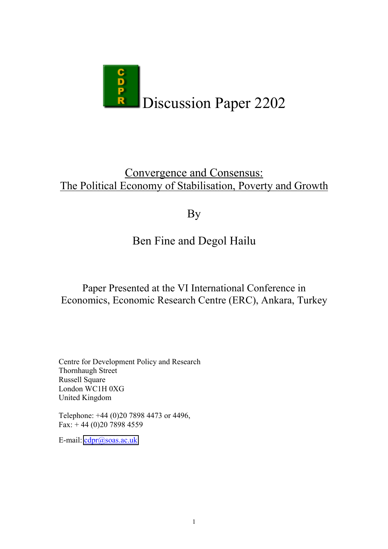

## Convergence and Consensus: The Political Economy of Stabilisation, Poverty and Growth

# By

# Ben Fine and Degol Hailu

## Paper Presented at the VI International Conference in Economics, Economic Research Centre (ERC), Ankara, Turkey

Centre for Development Policy and Research Thornhaugh Street Russell Square London WC1H 0XG United Kingdom

Telephone: +44 (0)20 7898 4473 or 4496, Fax: + 44 (0)20 7898 4559

E-mail: [cdpr@soas.ac.uk](mailto:cdpr@soas.ac.uk)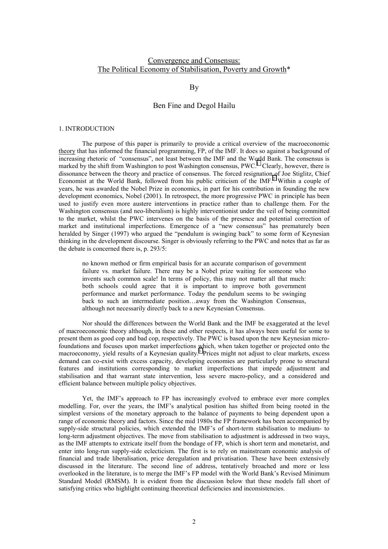### Convergence and Consensus: The Political Economy of Stabilisation, Poverty and Growth\*

#### By

#### Ben Fine and Degol Hailu

#### 1. INTRODUCTION

The purpose of this paper is primarily to provide a critical overview of the macroeconomic theory that has informed the financial programming, FP, of the IMF. It does so against a background of increasing rhetoric of "consensus", not least between the IMF and the World Bank. The consensus is marked by the shift from Washington to post Washington consensus,  $PWC<sup>1</sup>$  $PWC<sup>1</sup>$  $PWC<sup>1</sup>$  Clearly, however, there is dissonance between the theory and practice of consensus. The forced resignation of Joe Stiglitz, Chief Economist at the World Bank, followed from his public criticism of the IMF.<sup>[2](#page-29-0)</sup> Within a couple of years, he was awarded the Nobel Prize in economics, in part for his contribution in founding the new development economics, Nobel (2001). In retrospect, the more progressive PWC in principle has been used to justify even more austere interventions in practice rather than to challenge them. For the Washington consensus (and neo-liberalism) is highly interventionist under the veil of being committed to the market, whilst the PWC intervenes on the basis of the presence and potential correction of market and institutional imperfections. Emergence of a "new consensus" has prematurely been heralded by Singer (1997) who argued the "pendulum is swinging back" to some form of Keynesian thinking in the development discourse. Singer is obviously referring to the PWC and notes that as far as the debate is concerned there is, p. 293/5:

no known method or firm empirical basis for an accurate comparison of government failure vs. market failure. There may be a Nobel prize waiting for someone who invents such common scale! In terms of policy, this may not matter all that much: both schools could agree that it is important to improve both government performance and market performance. Today the pendulum seems to be swinging back to such an intermediate position…away from the Washington Consensus, although not necessarily directly back to a new Keynesian Consensus.

 Nor should the differences between the World Bank and the IMF be exaggerated at the level of macroeconomic theory although, in these and other respects, it has always been useful for some to present them as good cop and bad cop, respectively. The PWC is based upon the new Keynesian microfoundations and focuses upon market imperfections which, when taken together or projected onto the macroeconomy, yield results of a Keynesian quality.<sup>[3](#page-29-0)</sup> Prices might not adjust to clear markets, excess demand can co-exist with excess capacity, developing economies are particularly prone to structural features and institutions corresponding to market imperfections that impede adjustment and stabilisation and that warrant state intervention, less severe macro-policy, and a considered and efficient balance between multiple policy objectives.

Yet, the IMF's approach to FP has increasingly evolved to embrace ever more complex modelling. For, over the years, the IMF's analytical position has shifted from being rooted in the simplest versions of the monetary approach to the balance of payments to being dependent upon a range of economic theory and factors. Since the mid 1980s the FP framework has been accompanied by supply-side structural policies, which extended the IMF's of short-term stabilisation to medium- to long-term adjustment objectives. The move from stabilisation to adjustment is addressed in two ways, as the IMF attempts to extricate itself from the bondage of FP, which is short term and monetarist, and enter into long-run supply-side eclecticism. The first is to rely on mainstream economic analysis of financial and trade liberalisation, price deregulation and privatisation. These have been extensively discussed in the literature. The second line of address, tentatively broached and more or less overlooked in the literature, is to merge the IMF's FP model with the World Bank's Revised Minimum Standard Model (RMSM). It is evident from the discussion below that these models fall short of satisfying critics who highlight continuing theoretical deficiencies and inconsistencies.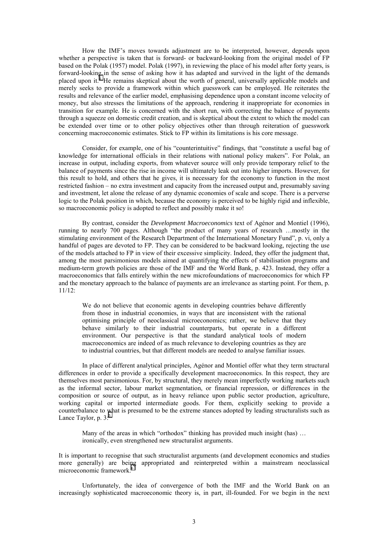How the IMF's moves towards adjustment are to be interpreted, however, depends upon whether a perspective is taken that is forward- or backward-looking from the original model of FP based on the Polak (1957) model. Polak (1997), in reviewing the place of his model after forty years, is forward-looking in the sense of asking how it has adapted and survived in the light of the demands placed upon it.<sup> $4$ </sup> He remains skeptical about the worth of general, universally applicable models and merely seeks to provide a framework within which guesswork can be employed. He reiterates the results and relevance of the earlier model, emphasising dependence upon a constant income velocity of money, but also stresses the limitations of the approach, rendering it inappropriate for economies in transition for example. He is concerned with the short run, with correcting the balance of payments through a squeeze on domestic credit creation, and is skeptical about the extent to which the model can be extended over time or to other policy objectives other than through reiteration of guesswork concerning macroeconomic estimates. Stick to FP within its limitations is his core message.

 Consider, for example, one of his "counterintuitive" findings, that "constitute a useful bag of knowledge for international officials in their relations with national policy makers". For Polak, an increase in output, including exports, from whatever source will only provide temporary relief to the balance of payments since the rise in income will ultimately leak out into higher imports. However, for this result to hold, and others that he gives, it is necessary for the economy to function in the most restricted fashion – no extra investment and capacity from the increased output and, presumably saving and investment, let alone the release of any dynamic economies of scale and scope. There is a perverse logic to the Polak position in which, because the economy is perceived to be highly rigid and inflexible, so macroeconomic policy is adopted to reflect and possibly make it so!

 By contrast, consider the *Development Macroeconomics* text of Agénor and Montiel (1996), running to nearly 700 pages. Although "the product of many years of research …mostly in the stimulating environment of the Research Department of the International Monetary Fund", p. vi, only a handful of pages are devoted to FP. They can be considered to be backward looking, rejecting the use of the models attached to FP in view of their excessive simplicity. Indeed, they offer the judgment that, among the most parsimonious models aimed at quantifying the effects of stabilisation programs and medium-term growth policies are those of the IMF and the World Bank, p. 423. Instead, they offer a macroeconomics that falls entirely within the new microfoundations of macroeconomics for which FP and the monetary approach to the balance of payments are an irrelevance as starting point. For them, p. 11/12:

We do not believe that economic agents in developing countries behave differently from those in industrial economies, in ways that are inconsistent with the rational optimising principle of neoclassical microeconomics; rather, we believe that they behave similarly to their industrial counterparts, but operate in a different environment. Our perspective is that the standard analytical tools of modern macroeconomics are indeed of as much relevance to developing countries as they are to industrial countries, but that different models are needed to analyse familiar issues.

 In place of different analytical principles, Agénor and Montiel offer what they term structural differences in order to provide a specifically development macroeconomics. In this respect, they are themselves most parsimonious. For, by structural, they merely mean imperfectly working markets such as the informal sector, labour market segmentation, or financial repression, or differences in the composition or source of output, as in heavy reliance upon public sector production, agriculture, working capital or imported intermediate goods. For them, explicitly seeking to provide a counterbalance to what is presumed to be the extreme stances adopted by leading structuralists such as Lance Taylor, p.  $3:5$  $3:5$ 

Many of the areas in which "orthodox" thinking has provided much insight (has) ... ironically, even strengthened new structuralist arguments.

It is important to recognise that such structuralist arguments (and development economics and studies more generally) are being appropriated and reinterpreted within a mainstream neoclassical microeconomic framework.<sup>[6](#page-29-0)</sup>

 Unfortunately, the idea of convergence of both the IMF and the World Bank on an increasingly sophisticated macroeconomic theory is, in part, ill-founded. For we begin in the next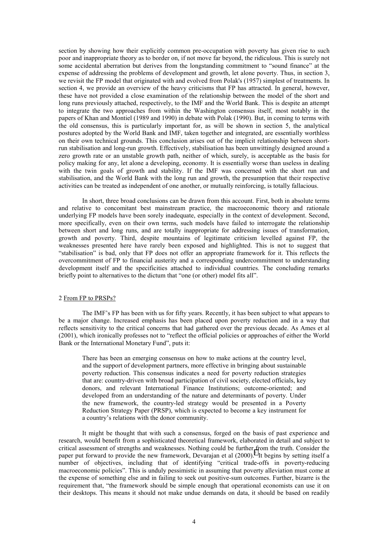section by showing how their explicitly common pre-occupation with poverty has given rise to such poor and inappropriate theory as to border on, if not move far beyond, the ridiculous. This is surely not some accidental aberration but derives from the longstanding commitment to "sound finance" at the expense of addressing the problems of development and growth, let alone poverty. Thus, in section 3, we revisit the FP model that originated with and evolved from Polak's (1957) simplest of treatments. In section 4, we provide an overview of the heavy criticisms that FP has attracted. In general, however, these have not provided a close examination of the relationship between the model of the short and long runs previously attached, respectively, to the IMF and the World Bank. This is despite an attempt to integrate the two approaches from within the Washington consensus itself, most notably in the papers of Khan and Montiel (1989 and 1990) in debate with Polak (1990). But, in coming to terms with the old consensus, this is particularly important for, as will be shown in section 5, the analytical postures adopted by the World Bank and IMF, taken together and integrated, are essentially worthless on their own technical grounds. This conclusion arises out of the implicit relationship between shortrun stabilisation and long-run growth. Effectively, stabilisation has been unwittingly designed around a zero growth rate or an unstable growth path, neither of which, surely, is acceptable as the basis for policy making for any, let alone a developing, economy. It is essentially worse than useless in dealing with the twin goals of growth and stability. If the IMF was concerned with the short run and stabilisation, and the World Bank with the long run and growth, the presumption that their respective activities can be treated as independent of one another, or mutually reinforcing, is totally fallacious.

 In short, three broad conclusions can be drawn from this account. First, both in absolute terms and relative to concomitant best mainstream practice, the macroeconomic theory and rationale underlying FP models have been sorely inadequate, especially in the context of development. Second, more specifically, even on their own terms, such models have failed to interrogate the relationship between short and long runs, and are totally inappropriate for addressing issues of transformation, growth and poverty. Third, despite mountains of legitimate criticism levelled against FP, the weaknesses presented here have rarely been exposed and highlighted. This is not to suggest that "stabilisation" is bad, only that FP does not offer an appropriate framework for it. This reflects the overcommitment of FP to financial austerity and a corresponding undercommitment to understanding development itself and the specificities attached to individual countries. The concluding remarks briefly point to alternatives to the dictum that "one (or other) model fits all".

#### 2 From FP to PRSPs?

 The IMF's FP has been with us for fifty years. Recently, it has been subject to what appears to be a major change. Increased emphasis has been placed upon poverty reduction and in a way that reflects sensitivity to the critical concerns that had gathered over the previous decade. As Ames et al (2001), which ironically professes not to "reflect the official policies or approaches of either the World Bank or the International Monetary Fund", puts it:

There has been an emerging consensus on how to make actions at the country level, and the support of development partners, more effective in bringing about sustainable poverty reduction. This consensus indicates a need for poverty reduction strategies that are: country-driven with broad participation of civil society, elected officials, key donors, and relevant International Finance Institutions; outcome-oriented; and developed from an understanding of the nature and determinants of poverty. Under the new framework, the country-led strategy would be presented in a Poverty Reduction Strategy Paper (PRSP), which is expected to become a key instrument for a country's relations with the donor community.

 It might be thought that with such a consensus, forged on the basis of past experience and research, would benefit from a sophisticated theoretical framework, elaborated in detail and subject to critical assessment of strengths and weaknesses. Nothing could be further from the truth. Consider the paper put forward to provide the new framework, Devarajan et al  $(2000)$ .<sup>[7](#page-29-0)</sup> It begins by setting itself a number of objectives, including that of identifying "critical trade-offs in poverty-reducing macroeconomic policies". This is unduly pessimistic in assuming that poverty alleviation must come at the expense of something else and in failing to seek out positive-sum outcomes. Further, bizarre is the requirement that, "the framework should be simple enough that operational economists can use it on their desktops. This means it should not make undue demands on data, it should be based on readily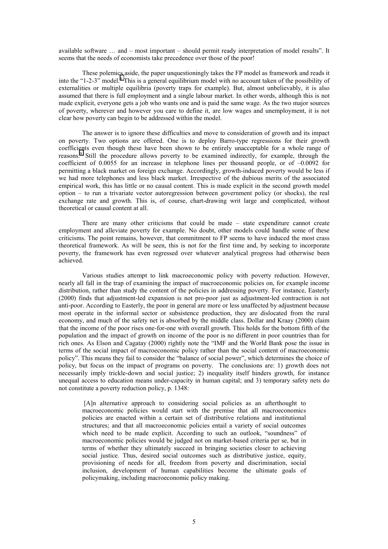available software … and – most important – should permit ready interpretation of model results". It seems that the needs of economists take precedence over those of the poor!

 These polemics aside, the paper unquestioningly takes the FP model as framework and reads it into the "1-2-3" model.<sup>[8](#page-29-0)</sup> This is a general equilibrium model with no account taken of the possibility of externalities or multiple equilibria (poverty traps for example). But, almost unbelievably, it is also assumed that there is full employment and a single labour market. In other words, although this is not made explicit, everyone gets a job who wants one and is paid the same wage. As the two major sources of poverty, wherever and however you care to define it, are low wages and unemployment, it is not clear how poverty can begin to be addressed within the model.

 The answer is to ignore these difficulties and move to consideration of growth and its impact on poverty. Two options are offered. One is to deploy Barro-type regressions for their growth coefficients even though these have been shown to be entirely unacceptable for a whole range of reasons.<sup>[9](#page-29-0)</sup> Still the procedure allows poverty to be examined indirectly, for example, through the coefficient of 0.0055 for an increase in telephone lines per thousand people, or of –0.0092 for permitting a black market on foreign exchange. Accordingly, growth-induced poverty would be less if we had more telephones and less black market. Irrespective of the dubious merits of the associated empirical work, this has little or no causal content. This is made explicit in the second growth model option – to run a trivariate vector autoregression between government policy (or shocks), the real exchange rate and growth. This is, of course, chart-drawing writ large and complicated, without theoretical or causal content at all.

 There are many other criticisms that could be made – state expenditure cannot create employment and alleviate poverty for example. No doubt, other models could handle some of these criticisms. The point remains, however, that commitment to FP seems to have induced the most crass theoretical framework. As will be seen, this is not for the first time and, by seeking to incorporate poverty, the framework has even regressed over whatever analytical progress had otherwise been achieved.

Various studies attempt to link macroeconomic policy with poverty reduction. However, nearly all fall in the trap of examining the impact of macroeconomic policies on, for example income distribution, rather than study the content of the policies in addressing poverty. For instance, Easterly (2000) finds that adjustment-led expansion is not pro-poor just as adjustment-led contraction is not anti-poor. According to Easterly, the poor in general are more or less unaffected by adjustment because most operate in the informal sector or subsistence production, they are dislocated from the rural economy, and much of the safety net is absorbed by the middle class. Dollar and Kraay (2000) claim that the income of the poor rises one-for-one with overall growth. This holds for the bottom fifth of the population and the impact of growth on income of the poor is no different in poor countries than for rich ones. As Elson and Cagatay (2000) rightly note the "IMF and the World Bank pose the issue in terms of the social impact of macroeconomic policy rather than the social content of macroeconomic policy". This means they fail to consider the "balance of social power", which determines the choice of policy, but focus on the impact of programs on poverty. The conclusions are: 1) growth does not necessarily imply trickle-down and social justice; 2) inequality itself hinders growth, for instance unequal access to education means under-capacity in human capital; and 3) temporary safety nets do not constitute a poverty reduction policy, p. 1348:

 [A]n alternative approach to considering social policies as an afterthought to macroeconomic policies would start with the premise that all macroeconomics policies are enacted within a certain set of distributive relations and institutional structures; and that all macroeconomic policies entail a variety of social outcomes which need to be made explicit. According to such an outlook, "soundness" of macroeconomic policies would be judged not on market-based criteria per se, but in terms of whether they ultimately succeed in bringing societies closer to achieving social justice. Thus, desired social outcomes such as distributive justice, equity, provisioning of needs for all, freedom from poverty and discrimination, social inclusion, development of human capabilities become the ultimate goals of policymaking, including macroeconomic policy making.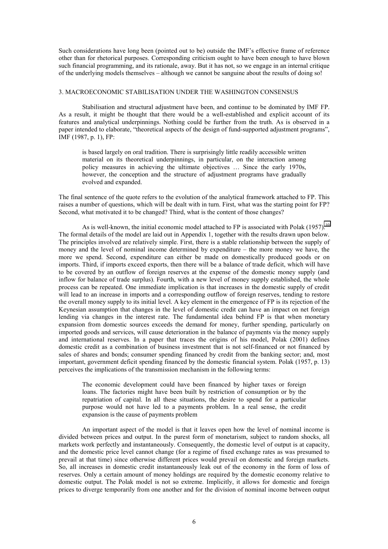Such considerations have long been (pointed out to be) outside the IMF's effective frame of reference other than for rhetorical purposes. Corresponding criticism ought to have been enough to have blown such financial programming, and its rationale, away. But it has not, so we engage in an internal critique of the underlying models themselves – although we cannot be sanguine about the results of doing so!

#### 3. MACROECONOMIC STABILISATION UNDER THE WASHINGTON CONSENSUS

 Stabilisation and structural adjustment have been, and continue to be dominated by IMF FP. As a result, it might be thought that there would be a well-established and explicit account of its features and analytical underpinnings. Nothing could be further from the truth. As is observed in a paper intended to elaborate, "theoretical aspects of the design of fund-supported adjustment programs", IMF (1987, p. 1), FP:

is based largely on oral tradition. There is surprisingly little readily accessible written material on its theoretical underpinnings, in particular, on the interaction among policy measures in achieving the ultimate objectives … Since the early 1970s, however, the conception and the structure of adjustment programs have gradually evolved and expanded.

The final sentence of the quote refers to the evolution of the analytical framework attached to FP. This raises a number of questions, which will be dealt with in turn. First, what was the starting point for FP? Second, what motivated it to be changed? Third, what is the content of those changes?

As is well-known, the initial economic model attached to FP is associated with Polak (1957).<sup>[10](#page-29-0)</sup> The formal details of the model are laid out in Appendix 1, together with the results drawn upon below. The principles involved are relatively simple. First, there is a stable relationship between the supply of money and the level of nominal income determined by expenditure – the more money we have, the more we spend. Second, expenditure can either be made on domestically produced goods or on imports. Third, if imports exceed exports, then there will be a balance of trade deficit, which will have to be covered by an outflow of foreign reserves at the expense of the domestic money supply (and inflow for balance of trade surplus). Fourth, with a new level of money supply established, the whole process can be repeated. One immediate implication is that increases in the domestic supply of credit will lead to an increase in imports and a corresponding outflow of foreign reserves, tending to restore the overall money supply to its initial level. A key element in the emergence of FP is its rejection of the Keynesian assumption that changes in the level of domestic credit can have an impact on net foreign lending via changes in the interest rate. The fundamental idea behind FP is that when monetary expansion from domestic sources exceeds the demand for money, further spending, particularly on imported goods and services, will cause deterioration in the balance of payments via the money supply and international reserves. In a paper that traces the origins of his model, Polak (2001) defines domestic credit as a combination of business investment that is not self-financed or not financed by sales of shares and bonds; consumer spending financed by credit from the banking sector; and, most important, government deficit spending financed by the domestic financial system. Polak (1957, p. 13) perceives the implications of the transmission mechanism in the following terms:

The economic development could have been financed by higher taxes or foreign loans. The factories might have been built by restriction of consumption or by the repatriation of capital. In all these situations, the desire to spend for a particular purpose would not have led to a payments problem. In a real sense, the credit expansion is the cause of payments problem

 An important aspect of the model is that it leaves open how the level of nominal income is divided between prices and output. In the purest form of monetarism, subject to random shocks, all markets work perfectly and instantaneously. Consequently, the domestic level of output is at capacity, and the domestic price level cannot change (for a regime of fixed exchange rates as was presumed to prevail at that time) since otherwise different prices would prevail on domestic and foreign markets. So, all increases in domestic credit instantaneously leak out of the economy in the form of loss of reserves. Only a certain amount of money holdings are required by the domestic economy relative to domestic output. The Polak model is not so extreme. Implicitly, it allows for domestic and foreign prices to diverge temporarily from one another and for the division of nominal income between output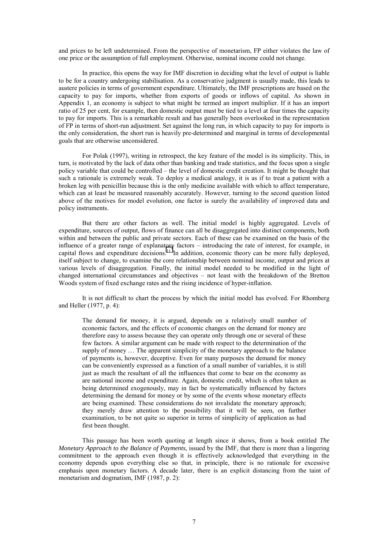and prices to be left undetermined. From the perspective of monetarism, FP either violates the law of one price or the assumption of full employment. Otherwise, nominal income could not change.

 In practice, this opens the way for IMF discretion in deciding what the level of output is liable to be for a country undergoing stabilisation. As a conservative judgment is usually made, this leads to austere policies in terms of government expenditure. Ultimately, the IMF prescriptions are based on the capacity to pay for imports, whether from exports of goods or inflows of capital. As shown in Appendix 1, an economy is subject to what might be termed an import multiplier. If it has an import ratio of 25 per cent, for example, then domestic output must be tied to a level at four times the capacity to pay for imports. This is a remarkable result and has generally been overlooked in the representation of FP in terms of short-run adjustment. Set against the long run, in which capacity to pay for imports is the only consideration, the short run is heavily pre-determined and marginal in terms of developmental goals that are otherwise unconsidered.

 For Polak (1997), writing in retrospect, the key feature of the model is its simplicity. This, in turn, is motivated by the lack of data other than banking and trade statistics, and the focus upon a single policy variable that could be controlled – the level of domestic credit creation. It might be thought that such a rationale is extremely weak. To deploy a medical analogy, it is as if to treat a patient with a broken leg with penicillin because this is the only medicine available with which to affect temperature, which can at least be measured reasonably accurately. However, turning to the second question listed above of the motives for model evolution, one factor is surely the availability of improved data and policy instruments.

 But there are other factors as well. The initial model is highly aggregated. Levels of expenditure, sources of output, flows of finance can all be disaggregated into distinct components, both within and between the public and private sectors. Each of these can be examined on the basis of the influence of a greater range of explanatory factors – introducing the rate of interest, for example, in capital flows and expenditure decisions.<sup>11</sup> In addition, economic theory can be more fully deployed, itself subject to change, to examine the core relationship between nominal income, output and prices at various levels of disaggregation. Finally, the initial model needed to be modified in the light of changed international circumstances and objectives – not least with the breakdown of the Bretton Woods system of fixed exchange rates and the rising incidence of hyper-inflation.

 It is not difficult to chart the process by which the initial model has evolved. For Rhomberg and Heller (1977, p. 4):

The demand for money, it is argued, depends on a relatively small number of economic factors, and the effects of economic changes on the demand for money are therefore easy to assess because they can operate only through one or several of these few factors. A similar argument can be made with respect to the determination of the supply of money … The apparent simplicity of the monetary approach to the balance of payments is, however, deceptive. Even for many purposes the demand for money can be conveniently expressed as a function of a small number of variables, it is still just as much the resultant of all the influences that come to bear on the economy as are national income and expenditure. Again, domestic credit, which is often taken as being determined exogenously, may in fact be systematically influenced by factors determining the demand for money or by some of the events whose monetary effects are being examined. These considerations do not invalidate the monetary approach; they merely draw attention to the possibility that it will be seen, on further examination, to be not quite so superior in terms of simplicity of application as had first been thought.

This passage has been worth quoting at length since it shows, from a book entitled *The Monetary Approach to the Balance of Payments*, issued by the IMF, that there is more than a lingering commitment to the approach even though it is effectively acknowledged that everything in the economy depends upon everything else so that, in principle, there is no rationale for excessive emphasis upon monetary factors. A decade later, there is an explicit distancing from the taint of monetarism and dogmatism, IMF (1987, p. 2):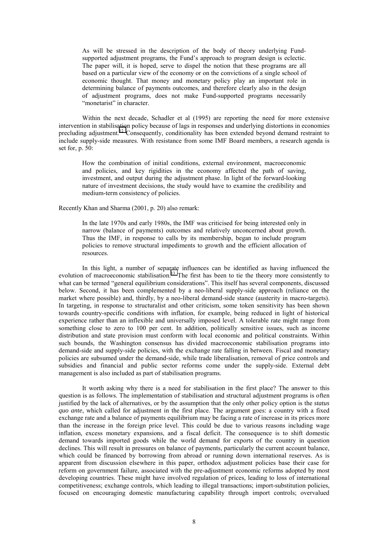As will be stressed in the description of the body of theory underlying Fundsupported adjustment programs, the Fund's approach to program design is eclectic. The paper will, it is hoped, serve to dispel the notion that these programs are all based on a particular view of the economy or on the convictions of a single school of economic thought. That money and monetary policy play an important role in determining balance of payments outcomes, and therefore clearly also in the design of adjustment programs, does not make Fund-supported programs necessarily "monetarist" in character.

 Within the next decade, Schadler et al (1995) are reporting the need for more extensive intervention in stabilisation policy because of lags in responses and underlying distortions in economies precluding adjustment.<sup>12</sup> Consequently, conditionality has been extended beyond demand restraint to include supply-side measures. With resistance from some IMF Board members, a research agenda is set for, p. 50:

How the combination of initial conditions, external environment, macroeconomic and policies, and key rigidities in the economy affected the path of saving, investment, and output during the adjustment phase. In light of the forward-looking nature of investment decisions, the study would have to examine the credibility and medium-term consistency of policies.

Recently Khan and Sharma (2001, p. 20) also remark:

In the late 1970s and early 1980s, the IMF was criticised for being interested only in narrow (balance of payments) outcomes and relatively unconcerned about growth. Thus the IMF, in response to calls by its membership, began to include program policies to remove structural impediments to growth and the efficient allocation of resources.

In this light, a number of separate influences can be identified as having influenced the evolution of macroeconomic stabilisation.<sup>13</sup> The first has been to tie the theory more consistently to what can be termed "general equilibrium considerations". This itself has several components, discussed below. Second, it has been complemented by a neo-liberal supply-side approach (reliance on the market where possible) and, thirdly, by a neo-liberal demand-side stance (austerity in macro-targets). In targeting, in response to structuralist and other criticism, some token sensitivity has been shown towards country-specific conditions with inflation, for example, being reduced in light of historical experience rather than an inflexible and universally imposed level. A tolerable rate might range from something close to zero to 100 per cent. In addition, politically sensitive issues, such as income distribution and state provision must conform with local economic and political constraints. Within such bounds, the Washington consensus has divided macroeconomic stabilisation programs into demand-side and supply-side policies, with the exchange rate falling in between. Fiscal and monetary policies are subsumed under the demand-side, while trade liberalisation, removal of price controls and subsidies and financial and public sector reforms come under the supply-side. External debt management is also included as part of stabilisation programs.

It worth asking why there is a need for stabilisation in the first place? The answer to this question is as follows. The implementation of stabilisation and structural adjustment programs is often justified by the lack of alternatives, or by the assumption that the only other policy option is the *status quo ante*, which called for adjustment in the first place. The argument goes: a country with a fixed exchange rate and a balance of payments equilibrium may be facing a rate of increase in its prices more than the increase in the foreign price level. This could be due to various reasons including wage inflation, excess monetary expansions, and a fiscal deficit. The consequence is to shift domestic demand towards imported goods while the world demand for exports of the country in question declines. This will result in pressures on balance of payments, particularly the current account balance, which could be financed by borrowing from abroad or running down international reserves. As is apparent from discussion elsewhere in this paper, orthodox adjustment policies base their case for reform on government failure, associated with the pre-adjustment economic reforms adopted by most developing countries. These might have involved regulation of prices, leading to loss of international competitiveness; exchange controls, which leading to illegal transactions; import-substitution policies, focused on encouraging domestic manufacturing capability through import controls; overvalued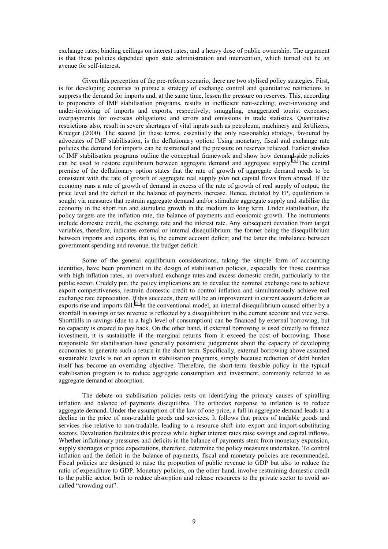exchange rates; binding ceilings on interest rates; and a heavy dose of public ownership. The argument is that these policies depended upon state administration and intervention, which turned out be an avenue for self-interest.

Given this perception of the pre-reform scenario, there are two stylised policy strategies. First, is for developing countries to pursue a strategy of exchange control and quantitative restrictions to suppress the demand for imports and, at the same time, lessen the pressure on reserves. This, according to proponents of IMF stabilisation programs, results in inefficient rent-seeking; over-invoicing and under-invoicing of imports and exports, respectively; smuggling, exaggerated tourist expenses; overpayments for overseas obligations; and errors and omissions in trade statistics. Quantitative restrictions also, result in severe shortages of vital inputs such as petroleum, machinery and fertilizers, Krueger (2000). The second (in these terms, essentially the only reasonable) strategy, favoured by advocates of IMF stabilisation, is the deflationary option: Using monetary, fiscal and exchange rate policies the demand for imports can be restrained and the pressure on reserves relieved. Earlier studies of IMF stabilisation programs outline the conceptual framework and show how demand-side policies can be used to restore equilibrium between aggregate demand and aggregate supply.<sup>14</sup> The central premise of the deflationary option states that the rate of growth of aggregate demand needs to be consistent with the rate of growth of aggregate real supply *plus* net capital flows from abroad. If the economy runs a rate of growth of demand in excess of the rate of growth of real supply of output, the price level and the deficit in the balance of payments increase. Hence, dictated by FP, equilibrium is sought via measures that restrain aggregate demand and/or stimulate aggregate supply and stabilise the economy in the short run and stimulate growth in the medium to long term. Under stabilisation, the policy targets are the inflation rate, the balance of payments and economic growth. The instruments include domestic credit, the exchange rate and the interest rate. Any subsequent deviation from target variables, therefore, indicates external or internal disequilibrium: the former being the disequilibrium between imports and exports, that is, the current account deficit; and the latter the imbalance between government spending and revenue, the budget deficit.

 Some of the general equilibrium considerations, taking the simple form of accounting identities, have been prominent in the design of stabilisation policies, especially for those countries with high inflation rates, an overvalued exchange rates and excess domestic credit, particularly to the public sector. Crudely put, the policy implications are to devalue the nominal exchange rate to achieve export competitiveness, restrain domestic credit to control inflation and simultaneously achieve real exchange rate depreciation. If this succeeds, there will be an improvement in current account deficits as exports rise and imports fall.<sup>15</sup> In the conventional model, an internal disequilibrium caused either by a shortfall in savings or tax revenue is reflected by a disequilibrium in the current account and vice versa. Shortfalls in savings (due to a high level of consumption) can be financed by external borrowing, but no capacity is created to pay back. On the other hand, if external borrowing is used directly to finance investment, it is sustainable if the marginal returns from it exceed the cost of borrowing. Those responsible for stabilisation have generally pessimistic judgements about the capacity of developing economies to generate such a return in the short term. Specifically, external borrowing above assumed sustainable levels is not an option in stabilisation programs, simply because reduction of debt burden itself has become an overriding objective. Therefore, the short-term feasible policy in the typical stabilisation program is to reduce aggregate consumption and investment, commonly referred to as aggregate demand or absorption.

The debate on stabilisation policies rests on identifying the primary causes of spiralling inflation and balance of payments disequilibra. The orthodox response to inflation is to reduce aggregate demand. Under the assumption of the law of one price, a fall in aggregate demand leads to a decline in the price of non-tradable goods and services. It follows that prices of tradable goods and services rise relative to non-tradable, leading to a resource shift into export and import-substituting sectors. Devaluation facilitates this process while higher interest rates raise savings and capital inflows. Whether inflationary pressures and deficits in the balance of payments stem from monetary expansion, supply shortages or price expectations, therefore, determine the policy measures undertaken. To control inflation and the deficit in the balance of payments, fiscal and monetary policies are recommended. Fiscal policies are designed to raise the proportion of public revenue to GDP but also to reduce the ratio of expenditure to GDP. Monetary policies, on the other hand, involve restraining domestic credit to the public sector, both to reduce absorption and release resources to the private sector to avoid socalled "crowding out".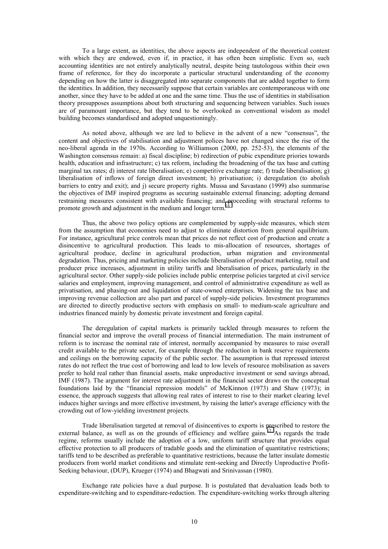To a large extent, as identities, the above aspects are independent of the theoretical content with which they are endowed, even if, in practice, it has often been simplistic. Even so, such accounting identities are not entirely analytically neutral, despite being tautologous within their own frame of reference, for they do incorporate a particular structural understanding of the economy depending on how the latter is disaggregated into separate components that are added together to form the identities. In addition, they necessarily suppose that certain variables are contemporaneous with one another, since they have to be added at one and the same time. Thus the use of identities in stabilisation theory presupposes assumptions about both structuring and sequencing between variables. Such issues are of paramount importance, but they tend to be overlooked as conventional wisdom as model building becomes standardised and adopted unquestioningly.

As noted above, although we are led to believe in the advent of a new "consensus", the content and objectives of stabilisation and adjustment polices have not changed since the rise of the neo-liberal agenda in the 1970s. According to Williamson (2000, pp. 252-53), the elements of the Washington consensus remain: a) fiscal discipline; b) redirection of pubic expenditure priories towards health, education and infrastructure; c) tax reform, including the broadening of the tax base and cutting marginal tax rates; d) interest rate liberalisation; e) competitive exchange rate; f) trade liberalisation; g) liberalisation of inflows of foreign direct investment; h) privatisation; i) deregulation (to abolish barriers to entry and exit); and j) secure property rights. Mussa and Savastano (1999) also summarise the objectives of IMF inspired programs as securing sustainable external financing; adopting demand restraining measures consistent with available financing; and proceeding with structural reforms to promote growth and adjustment in the medium and longer term.<sup>[16](#page-29-0)</sup>

 Thus, the above two policy options are complemented by supply-side measures, which stem from the assumption that economies need to adjust to eliminate distortion from general equilibrium. For instance, agricultural price controls mean that prices do not reflect cost of production and create a disincentive to agricultural production. This leads to mis-allocation of resources, shortages of agricultural produce, decline in agricultural production, urban migration and environmental degradation. Thus, pricing and marketing policies include liberalisation of product marketing, retail and producer price increases, adjustment in utility tariffs and liberalisation of prices, particularly in the agricultural sector. Other supply-side policies include public enterprise policies targeted at civil service salaries and employment, improving management, and control of administrative expenditure as well as privatisation, and phasing-out and liquidation of state-owned enterprises. Widening the tax base and improving revenue collection are also part and parcel of supply-side policies. Investment programmes are directed to directly productive sectors with emphasis on small- to medium-scale agriculture and industries financed mainly by domestic private investment and foreign capital.

 The deregulation of capital markets is primarily tackled through measures to reform the financial sector and improve the overall process of financial intermediation. The main instrument of reform is to increase the nominal rate of interest, normally accompanied by measures to raise overall credit available to the private sector, for example through the reduction in bank reserve requirements and ceilings on the borrowing capacity of the public sector. The assumption is that repressed interest rates do not reflect the true cost of borrowing and lead to low levels of resource mobilisation as savers prefer to hold real rather than financial assets, make unproductive investment or send savings abroad, IMF (1987). The argument for interest rate adjustment in the financial sector draws on the conceptual foundations laid by the "financial repression models" of McKinnon (1973) and Shaw (1973); in essence, the approach suggests that allowing real rates of interest to rise to their market clearing level induces higher savings and more effective investment, by raising the latter's average efficiency with the crowding out of low-yielding investment projects.

 Trade liberalisation targeted at removal of disincentives to exports is prescribed to restore the external balance, as well as on the grounds of efficiency and welfare gains.<sup>17</sup> As regards the trade regime, reforms usually include the adoption of a low, uniform tariff structure that provides equal effective protection to all producers of tradable goods and the elimination of quantitative restrictions; tariffs tend to be described as preferable to quantitative restrictions, because the latter insulate domestic producers from world market conditions and stimulate rent-seeking and Directly Unproductive Profit-Seeking behaviour, (DUP), Krueger (1974) and Bhagwati and Srinivassan (1980).

 Exchange rate policies have a dual purpose. It is postulated that devaluation leads both to expenditure-switching and to expenditure-reduction. The expenditure-switching works through altering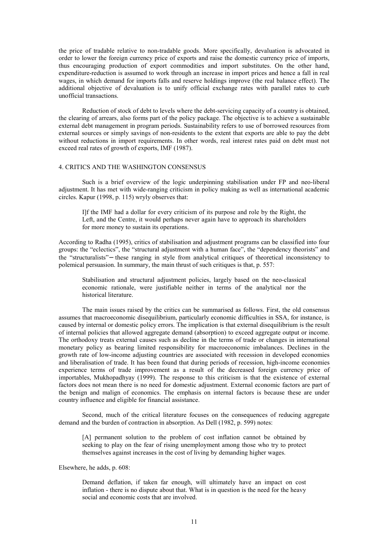the price of tradable relative to non-tradable goods. More specifically, devaluation is advocated in order to lower the foreign currency price of exports and raise the domestic currency price of imports, thus encouraging production of export commodities and import substitutes. On the other hand, expenditure-reduction is assumed to work through an increase in import prices and hence a fall in real wages, in which demand for imports falls and reserve holdings improve (the real balance effect). The additional objective of devaluation is to unify official exchange rates with parallel rates to curb unofficial transactions.

 Reduction of stock of debt to levels where the debt-servicing capacity of a country is obtained, the clearing of arrears, also forms part of the policy package. The objective is to achieve a sustainable external debt management in program periods. Sustainability refers to use of borrowed resources from external sources or simply savings of non-residents to the extent that exports are able to pay the debt without reductions in import requirements. In other words, real interest rates paid on debt must not exceed real rates of growth of exports, IMF (1987).

#### 4. CRITICS AND THE WASHINGTON CONSENSUS

Such is a brief overview of the logic underpinning stabilisation under FP and neo-liberal adjustment. It has met with wide-ranging criticism in policy making as well as international academic circles. Kapur (1998, p. 115) wryly observes that:

I]f the IMF had a dollar for every criticism of its purpose and role by the Right, the Left, and the Centre, it would perhaps never again have to approach its shareholders for more money to sustain its operations.

According to Radha (1995), critics of stabilisation and adjustment programs can be classified into four groups: the "eclectics", the "structural adjustment with a human face", the "dependency theorists" and the "structuralists"− these ranging in style from analytical critiques of theoretical inconsistency to polemical persuasion. In summary, the main thrust of such critiques is that, p. 557:

Stabilisation and structural adjustment policies, largely based on the neo-classical economic rationale, were justifiable neither in terms of the analytical nor the historical literature.

The main issues raised by the critics can be summarised as follows. First, the old consensus assumes that macroeconomic disequilibrium, particularly economic difficulties in SSA, for instance, is caused by internal or domestic policy errors. The implication is that external disequilibrium is the result of internal policies that allowed aggregate demand (absorption) to exceed aggregate output or income. The orthodoxy treats external causes such as decline in the terms of trade or changes in international monetary policy as bearing limited responsibility for macroeconomic imbalances. Declines in the growth rate of low-income adjusting countries are associated with recession in developed economies and liberalisation of trade. It has been found that during periods of recession, high-income economies experience terms of trade improvement as a result of the decreased foreign currency price of importables, Mukhopadhyay (1999). The response to this criticism is that the existence of external factors does not mean there is no need for domestic adjustment. External economic factors are part of the benign and malign of economics. The emphasis on internal factors is because these are under country influence and eligible for financial assistance.

 Second, much of the critical literature focuses on the consequences of reducing aggregate demand and the burden of contraction in absorption. As Dell (1982, p. 599) notes:

[A] permanent solution to the problem of cost inflation cannot be obtained by seeking to play on the fear of rising unemployment among those who try to protect themselves against increases in the cost of living by demanding higher wages.

Elsewhere, he adds, p. 608:

Demand deflation, if taken far enough, will ultimately have an impact on cost inflation - there is no dispute about that. What is in question is the need for the heavy social and economic costs that are involved.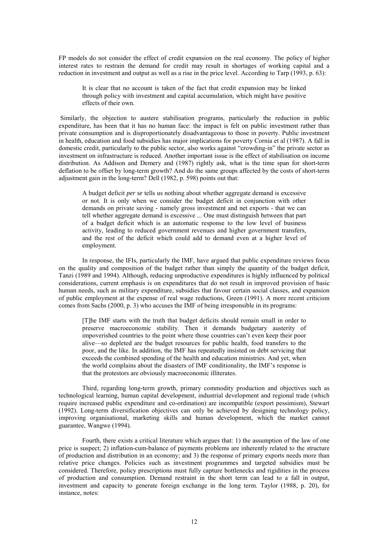FP models do not consider the effect of credit expansion on the real economy. The policy of higher interest rates to restrain the demand for credit may result in shortages of working capital and a reduction in investment and output as well as a rise in the price level. According to Tarp (1993, p. 63):

It is clear that no account is taken of the fact that credit expansion may be linked through policy with investment and capital accumulation, which might have positive effects of their own.

 Similarly, the objection to austere stabilisation programs, particularly the reduction in public expenditure, has been that it has no human face: the impact is felt on public investment rather than private consumption and is disproportionately disadvantageous to those in poverty. Public investment in health, education and food subsidies has major implications for poverty Cornia et al (1987). A fall in domestic credit, particularly to the public sector, also works against "crowding-in" the private sector as investment on infrastructure is reduced. Another important issue is the effect of stabilisation on income distribution. As Addison and Demery and (1987) rightly ask, what is the time span for short-term deflation to be offset by long-term growth? And do the same groups affected by the costs of short-term adjustment gain in the long-term? Dell (1982, p. 598) points out that:

A budget deficit *per se* tells us nothing about whether aggregate demand is excessive or not. It is only when we consider the budget deficit in conjunction with other demands on private saving - namely gross investment and net exports - that we can tell whether aggregate demand is excessive ... One must distinguish between that part of a budget deficit which is an automatic response to the low level of business activity, leading to reduced government revenues and higher government transfers, and the rest of the deficit which could add to demand even at a higher level of employment.

 In response, the IFIs, particularly the IMF, have argued that public expenditure reviews focus on the quality and composition of the budget rather than simply the quantity of the budget deficit, Tanzi (1989 and 1994). Although, reducing unproductive expenditures is highly influenced by political considerations, current emphasis is on expenditures that do not result in improved provision of basic human needs, such as military expenditure, subsidies that favour certain social classes, and expansion of public employment at the expense of real wage reductions, Green (1991). A more recent criticism comes from Sachs (2000, p. 3) who accuses the IMF of being irresponsible in its programs:

[T]he IMF starts with the truth that budget deficits should remain small in order to preserve macroeconomic stability. Then it demands budgetary austerity of impoverished countries to the point where those countries can't even keep their poor alive—so depleted are the budget resources for public health, food transfers to the poor, and the like. In addition, the IMF has repeatedly insisted on debt servicing that exceeds the combined spending of the health and education ministries. And yet, when the world complains about the disasters of IMF conditionality, the IMF's response is that the protestors are obviously macroeconomic illiterates.

 Third, regarding long-term growth, primary commodity production and objectives such as technological learning, human capital development, industrial development and regional trade (which require increased public expenditure and co-ordination) are incompatible (export pessimism), Stewart (1992). Long-term diversification objectives can only be achieved by designing technology policy, improving organisational, marketing skills and human development, which the market cannot guarantee, Wangwe (1994).

 Fourth, there exists a critical literature which argues that: 1) the assumption of the law of one price is suspect; 2) inflation-cum-balance of payments problems are inherently related to the structure of production and distribution in an economy; and 3) the response of primary exports needs more than relative price changes. Policies such as investment programmes and targeted subsidies must be considered. Therefore, policy prescriptions must fully capture bottlenecks and rigidities in the process of production and consumption. Demand restraint in the short term can lead to a fall in output, investment and capacity to generate foreign exchange in the long term. Taylor (1988, p. 20), for instance, notes: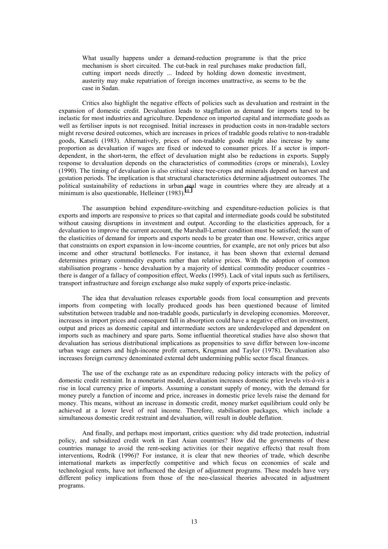What usually happens under a demand-reduction programme is that the price mechanism is short circuited. The cut-back in real purchases make production fall, cutting import needs directly ... Indeed by holding down domestic investment, austerity may make repatriation of foreign incomes unattractive, as seems to be the case in Sudan.

 Critics also highlight the negative effects of policies such as devaluation and restraint in the expansion of domestic credit. Devaluation leads to stagflation as demand for imports tend to be inelastic for most industries and agriculture. Dependence on imported capital and intermediate goods as well as fertiliser inputs is not recognised. Initial increases in production costs in non-tradable sectors might reverse desired outcomes, which are increases in prices of tradable goods relative to non-tradable goods, Katseli (1983). Alternatively, prices of non-tradable goods might also increase by same proportion as devaluation if wages are fixed or indexed to consumer prices. If a sector is importdependent, in the short-term, the effect of devaluation might also be reductions in exports. Supply response to devaluation depends on the characteristics of commodities (crops or minerals), Loxley (1990). The timing of devaluation is also critical since tree-crops and minerals depend on harvest and gestation periods. The implication is that structural characteristics determine adjustment outcomes. The political sustainability of reductions in urban real wage in countries where they are already at a minimum is also questionable, Helleiner  $(1983)$ .<sup>[18](#page-29-0)</sup>

 The assumption behind expenditure-switching and expenditure-reduction policies is that exports and imports are responsive to prices so that capital and intermediate goods could be substituted without causing disruptions in investment and output. According to the elasticities approach, for a devaluation to improve the current account, the Marshall-Lerner condition must be satisfied; the sum of the elasticities of demand for imports and exports needs to be greater than one. However, critics argue that constraints on export expansion in low-income countries, for example, are not only prices but also income and other structural bottlenecks. For instance, it has been shown that external demand determines primary commodity exports rather than relative prices. With the adoption of common stabilisation programs - hence devaluation by a majority of identical commodity producer countries there is danger of a fallacy of composition effect, Weeks (1995). Lack of vital inputs such as fertilisers, transport infrastructure and foreign exchange also make supply of exports price-inelastic.

 The idea that devaluation releases exportable goods from local consumption and prevents imports from competing with locally produced goods has been questioned because of limited substitution between tradable and non-tradable goods, particularly in developing economies. Moreover, increases in import prices and consequent fall in absorption could have a negative effect on investment, output and prices as domestic capital and intermediate sectors are underdeveloped and dependent on imports such as machinery and spare parts. Some influential theoretical studies have also shown that devaluation has serious distributional implications as propensities to save differ between low-income urban wage earners and high-income profit earners, Krugman and Taylor (1978). Devaluation also increases foreign currency denominated external debt undermining public sector fiscal finances.

 The use of the exchange rate as an expenditure reducing policy interacts with the policy of domestic credit restraint. In a monetarist model, devaluation increases domestic price levels *vis-à-vis* a rise in local currency price of imports. Assuming a constant supply of money, with the demand for money purely a function of income and price, increases in domestic price levels raise the demand for money. This means, without an increase in domestic credit, money market equilibrium could only be achieved at a lower level of real income. Therefore, stabilisation packages, which include a simultaneous domestic credit restraint and devaluation, will result in double deflation.

And finally, and perhaps most important, critics question: why did trade protection, industrial policy, and subsidized credit work in East Asian countries? How did the governments of these countries manage to avoid the rent-seeking activities (or their negative effects) that result from interventions, Rodrik (1996)? For instance, it is clear that new theories of trade, which describe international markets as imperfectly competitive and which focus on economies of scale and technological rents, have not influenced the design of adjustment programs. These models have very different policy implications from those of the neo-classical theories advocated in adjustment programs.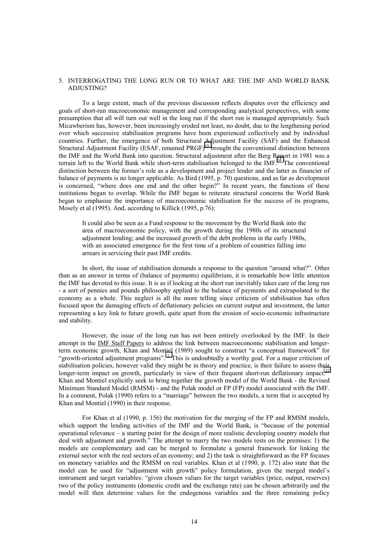#### 5. INTERROGATING THE LONG RUN OR TO WHAT ARE THE IMF AND WORLD BANK ADJUSTING?

 To a large extent, much of the previous discussion reflects disputes over the efficiency and goals of short-run macroeconomic management and corresponding analytical perspectives, with some presumption that all will turn out well in the long run if the short run is managed appropriately. Such Micawberism has, however, been increasingly eroded not least, no doubt, due to the lengthening period over which successive stabilisation programs have been experienced collectively and by individual countries. Further, the emergence of both Structural Adjustment Facility (SAF) and the Enhanced Structural Adjustment Facility (ESAF, renamed PRGF)<sup>19</sup> brought the conventional distinction between the IMF and the World Bank into question. Structural adjustment after the Berg Report in 1981 was a terrain left to the World Bank while short-term stabilisation belonged to the  $\overline{IMF}^{20}$ . The conventional distinction between the former's role as a development and project lender and the latter as financier of balance of payments is no longer applicable. As Bird (1995, p. 70) questions, and as far as development is concerned, "where does one end and the other begin?" In recent years, the functions of these institutions began to overlap. While the IMF began to reiterate structural concerns the World Bank began to emphasise the importance of macroeconomic stabilisation for the success of its programs, Mosely et al (1995). And, according to Killick (1995, p.76):

It could also be seen as a Fund response to the movement by the World Bank into the area of macroeconomic policy, with the growth during the 1980s of its structural adjustment lending; and the increased growth of the debt problems in the early 1980s, with an associated emergence for the first time of a problem of countries falling into arrears in servicing their past IMF credits.

 In short, the issue of stabilisation demands a response to the question "around what?". Other than as an answer in terms of (balance of payments) equilibrium, it is remarkable how little attention the IMF has devoted to this issue. It is as if looking at the short run inevitably takes care of the long run - a sort of pennies and pounds philosophy applied to the balance of payments and extrapolated to the economy as a whole. This neglect is all the more telling since criticism of stabilisation has often focused upon the damaging effects of deflationary policies on current output and investment, the latter representing a key link to future growth, quite apart from the erosion of socio-economic infrastructure and stability.

 However, the issue of the long run has not been entirely overlooked by the IMF. In their attempt in the IMF Staff Papers to address the link between macroeconomic stabilisation and longerterm economic growth, Khan and Montiel (1989) sought to construct "a conceptual framework" for "growth-oriented adjustment programs".<sup>21</sup> This is undoubtedly a worthy goal. For a major criticism of stabilisation policies, however valid they might be in theory and practice, is their failure to assess their longer-term impact on growth, particularly in view of their frequent short-run deflationary impact.<sup>22</sup> Khan and Montiel explicitly seek to bring together the growth model of the World Bank - the Revised Minimum Standard Model (RMSM) - and the Polak model or FP (FP) model associated with the IMF. In a comment, Polak (1990) refers to a "marriage" between the two models, a term that is accepted by Khan and Montiel (1990) in their response.

For Khan et al (1990, p. 156) the motivation for the merging of the FP and RMSM models, which support the lending activities of the IMF and the World Bank, is "because of the potential operational relevance – a starting point for the design of more realistic developing country models that deal with adjustment and growth." The attempt to marry the two models rests on the premises: 1) the models are complementary and can be merged to formulate a general framework for linking the external sector with the real sectors of an economy; and 2) the task is straightforward as the FP focuses on monetary variables and the RMSM on real variables. Khan et al (1990, p. 172) also state that the model can be used for "adjustment with growth" policy formulation, given the merged model's instrument and target variables: "given chosen values for the target variables (price, output, reserves) two of the policy instruments (domestic credit and the exchange rate) can be chosen arbitrarily and the model will then determine values for the endogenous variables and the three remaining policy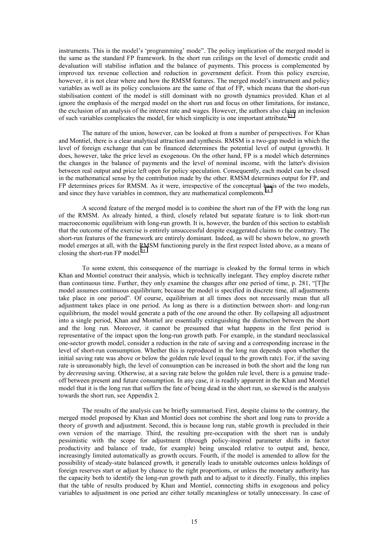instruments. This is the model's 'programming' mode". The policy implication of the merged model is the same as the standard FP framework. In the short run ceilings on the level of domestic credit and devaluation will stabilise inflation and the balance of payments. This process is complemented by improved tax revenue collection and reduction in government deficit. From this policy exercise, however, it is not clear where and how the RMSM features. The merged model's instrument and policy variables as well as its policy conclusions are the same of that of FP, which means that the short-run stabilisation content of the model is still dominant with no growth dynamics provided. Khan et al ignore the emphasis of the merged model on the short run and focus on other limitations, for instance, the exclusion of an analysis of the interest rate and wages. However, the authors also claim an inclusion of such variables complicates the model, for which simplicity is one important attribute.<sup>23</sup>

 The nature of the union, however, can be looked at from a number of perspectives. For Khan and Montiel, there is a clear analytical attraction and synthesis. RMSM is a two-gap model in which the level of foreign exchange that can be financed determines the potential level of output (growth). It does, however, take the price level as exogenous. On the other hand, FP is a model which determines the changes in the balance of payments and the level of nominal income, with the latter's division between real output and price left open for policy speculation. Consequently, each model can be closed in the mathematical sense by the contribution made by the other. RMSM determines output for FP, and FP determines prices for RMSM. As it were, irrespective of the conceptual basis of the two models, and since they have variables in common, they are mathematical complements.<sup>[24](#page-29-0)</sup>

 A second feature of the merged model is to combine the short run of the FP with the long run of the RMSM. As already hinted, a third, closely related but separate feature is to link short-run macroeconomic equilibrium with long-run growth. It is, however, the burden of this section to establish that the outcome of the exercise is entirely unsuccessful despite exaggerated claims to the contrary. The short-run features of the framework are entirely dominant. Indeed, as will be shown below, no growth model emerges at all, with the RMSM functioning purely in the first respect listed above, as a means of closing the short-run FP model. $^{25}$  $^{25}$  $^{25}$ 

 To some extent, this consequence of the marriage is cloaked by the formal terms in which Khan and Montiel construct their analysis, which is technically inelegant. They employ discrete rather than continuous time. Further, they only examine the changes after one period of time, p. 281, "[T]he model assumes continuous equilibrium; because the model is specified in discrete time, all adjustments take place in one period". Of course, equilibrium at all times does not necessarily mean that all adjustment takes place in one period. As long as there is a distinction between short- and long-run equilibrium, the model would generate a path of the one around the other. By collapsing all adjustment into a single period, Khan and Montiel are essentially extinguishing the distinction between the short and the long run. Moreover, it cannot be presumed that what happens in the first period is representative of the impact upon the long-run growth path. For example, in the standard neoclassical one-sector growth model, consider a reduction in the rate of saving and a corresponding increase in the level of short-run consumption. Whether this is reproduced in the long run depends upon whether the initial saving rate was above or below the golden rule level (equal to the growth rate). For, if the saving rate is unreasonably high, the level of consumption can be increased in both the short and the long run by *decreasing* saving. Otherwise, at a saving rate below the golden rule level, there is a genuine tradeoff between present and future consumption. In any case, it is readily apparent in the Khan and Montiel model that it is the long run that suffers the fate of being dead in the short run, so skewed is the analysis towards the short run, see Appendix 2.

 The results of the analysis can be briefly summarised. First, despite claims to the contrary, the merged model proposed by Khan and Montiel does not combine the short and long runs to provide a theory of growth and adjustment. Second, this is because long run, stable growth is precluded in their own version of the marriage. Third, the resulting pre-occupation with the short run is unduly pessimistic with the scope for adjustment (through policy-inspired parameter shifts in factor productivity and balance of trade, for example) being unscaled relative to output and, hence, increasingly limited automatically as growth occurs. Fourth, if the model is amended to allow for the possibility of steady-state balanced growth, it generally leads to unstable outcomes unless holdings of foreign reserves start or adjust by chance to the right proportions, or unless the monetary authority has the capacity both to identify the long-run growth path and to adjust to it directly. Finally, this implies that the table of results produced by Khan and Montiel, connecting shifts in exogenous and policy variables to adjustment in one period are either totally meaningless or totally unnecessary. In case of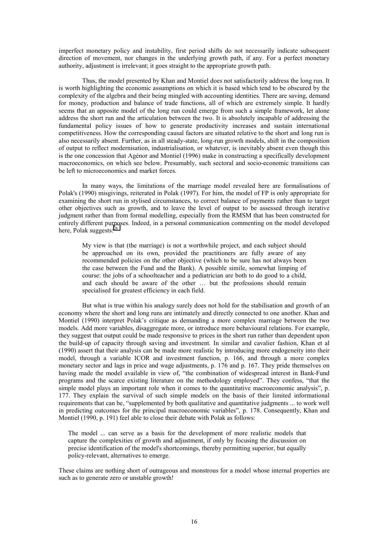imperfect monetary policy and instability, first period shifts do not necessarily indicate subsequent direction of movement, nor changes in the underlying growth path, if any. For a perfect monetary authority, adjustment is irrelevant; it goes straight to the appropriate growth path.

 Thus, the model presented by Khan and Montiel does not satisfactorily address the long run. It is worth highlighting the economic assumptions on which it is based which tend to be obscured by the complexity of the algebra and their being mingled with accounting identities. There are saving, demand for money, production and balance of trade functions, all of which are extremely simple. It hardly seems that an apposite model of the long run could emerge from such a simple framework, let alone address the short run and the articulation between the two. It is absolutely incapable of addressing the fundamental policy issues of how to generate productivity increases and sustain international competitiveness. How the corresponding causal factors are situated relative to the short and long run is also necessarily absent. Further, as in all steady-state, long-run growth models, shift in the composition of output to reflect modernisation, industrialisation, or whatever, is inevitably absent even though this is the one concession that Agénor and Montiel (1996) make in constructing a specifically development macroeconomics, on which see below. Presumably, such sectoral and socio-economic transitions can be left to microeconomics and market forces.

 In many ways, the limitations of the marriage model revealed here are formalisations of Polak's (1990) misgivings, reiterated in Polak (1997). For him, the model of FP is only appropriate for examining the short run in stylised circumstances, to correct balance of payments rather than to target other objectives such as growth, and to leave the level of output to be assessed through iterative judgment rather than from formal modelling, especially from the RMSM that has been constructed for entirely different purposes. Indeed, in a personal communication commenting on the model developed here, Polak suggests:<sup>2</sup>

My view is that (the marriage) is not a worthwhile project, and each subject should be approached on its own, provided the practitioners are fully aware of any recommended policies on the other objective (which to be sure has not always been the case between the Fund and the Bank). A possible simile, somewhat limping of course: the jobs of a schoolteacher and a pediatrician are both to do good to a child, and each should be aware of the other … but the professions should remain specialised for greatest efficiency in each field.

 But what is true within his analogy surely does not hold for the stabilisation and growth of an economy where the short and long runs are intimately and directly connected to one another. Khan and Montiel (1990) interpret Polak's critique as demanding a more complex marriage between the two models. Add more variables, disaggregate more, or introduce more behavioural relations. For example, they suggest that output could be made responsive to prices in the short run rather than dependent upon the build-up of capacity through saving and investment. In similar and cavalier fashion, Khan et al (1990) assert that their analysis can be made more realistic by introducing more endogeneity into their model, through a variable ICOR and investment function, p. 166, and through a more complex monetary sector and lags in price and wage adjustments, p. 176 and p. 167. They pride themselves on having made the model available in view of, "the combination of widespread interest in Bank-Fund programs and the scarce existing literature on the methodology employed". They confess, "that the simple model plays an important role when it comes to the quantitative macroeconomic analysis", p. 177. They explain the survival of such simple models on the basis of their limited informational requirements that can be, "supplemented by both qualitative and quantitative judgments ... to work well in predicting outcomes for the principal macroeconomic variables", p. 178. Consequently, Khan and Montiel (1990, p. 191) feel able to close their debate with Polak as follows:

The model ... can serve as a basis for the development of more realistic models that capture the complexities of growth and adjustment, if only by focusing the discussion on precise identification of the model's shortcomings, thereby permitting superior, but equally policy-relevant, alternatives to emerge.

These claims are nothing short of outrageous and monstrous for a model whose internal properties are such as to generate zero or unstable growth!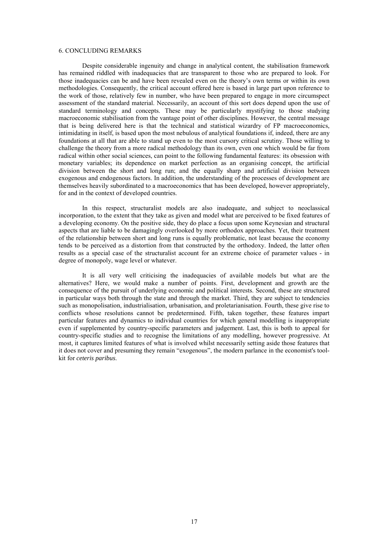#### 6. CONCLUDING REMARKS

Despite considerable ingenuity and change in analytical content, the stabilisation framework has remained riddled with inadequacies that are transparent to those who are prepared to look. For those inadequacies can be and have been revealed even on the theory's own terms or within its own methodologies. Consequently, the critical account offered here is based in large part upon reference to the work of those, relatively few in number, who have been prepared to engage in more circumspect assessment of the standard material. Necessarily, an account of this sort does depend upon the use of standard terminology and concepts. These may be particularly mystifying to those studying macroeconomic stabilisation from the vantage point of other disciplines. However, the central message that is being delivered here is that the technical and statistical wizardry of FP macroeconomics, intimidating in itself, is based upon the most nebulous of analytical foundations if, indeed, there are any foundations at all that are able to stand up even to the most cursory critical scrutiny. Those willing to challenge the theory from a more radical methodology than its own, even one which would be far from radical within other social sciences, can point to the following fundamental features: its obsession with monetary variables; its dependence on market perfection as an organising concept, the artificial division between the short and long run; and the equally sharp and artificial division between exogenous and endogenous factors. In addition, the understanding of the processes of development are themselves heavily subordinated to a macroeconomics that has been developed, however appropriately, for and in the context of developed countries.

 In this respect, structuralist models are also inadequate, and subject to neoclassical incorporation, to the extent that they take as given and model what are perceived to be fixed features of a developing economy. On the positive side, they do place a focus upon some Keynesian and structural aspects that are liable to be damagingly overlooked by more orthodox approaches. Yet, their treatment of the relationship between short and long runs is equally problematic, not least because the economy tends to be perceived as a distortion from that constructed by the orthodoxy. Indeed, the latter often results as a special case of the structuralist account for an extreme choice of parameter values - in degree of monopoly, wage level or whatever.

 It is all very well criticising the inadequacies of available models but what are the alternatives? Here, we would make a number of points. First, development and growth are the consequence of the pursuit of underlying economic and political interests. Second, these are structured in particular ways both through the state and through the market. Third, they are subject to tendencies such as monopolisation, industrialisation, urbanisation, and proletarianisation. Fourth, these give rise to conflicts whose resolutions cannot be predetermined. Fifth, taken together, these features impart particular features and dynamics to individual countries for which general modelling is inappropriate even if supplemented by country-specific parameters and judgement. Last, this is both to appeal for country-specific studies and to recognise the limitations of any modelling, however progressive. At most, it captures limited features of what is involved whilst necessarily setting aside those features that it does not cover and presuming they remain "exogenous", the modern parlance in the economist's toolkit for *ceteris paribus*.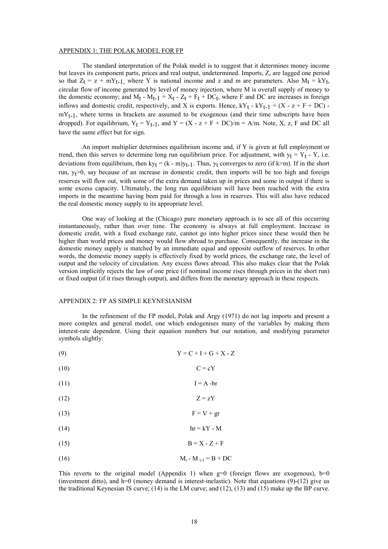#### APPENDIX 1: THE POLAK MODEL FOR FP

 The standard interpretation of the Polak model is to suggest that it determines money income but leaves its component parts, prices and real output, undetermined. Imports, Z, are lagged one period so that  $Z_t = z + mY_{t-1}$ , where Y is national income and z and m are parameters. Also  $M_t = kY_t$ , circular flow of income generated by level of money injection, where M is overall supply of money to the domestic economy; and  $M_t - M_{t-1} = X_t - Z_t + F_t + DC_t$ , where F and DC are increases in foreign inflows and domestic credit, respectively, and X is exports. Hence,  $kY_t - kY_{t-1} = (X - z + F + DC)$ .  $mY_{t-1}$ , where terms in brackets are assumed to be exogenous (and their time subscripts have been dropped). For equilibrium,  $Y_t = Y_{t-1}$ , and  $Y = (X - z + F + DC)/m = A/m$ . Note, X, z, F and DC all have the same effect but for sign.

 An import multiplier determines equilibrium income and, if Y is given at full employment or trend, then this serves to determine long run equilibrium price. For adjustment, with  $y_t = Y_t - Y$ , i.e. deviations from equilibrium, then ky<sub>t</sub> = (k - m)y<sub>t-1</sub>. Thus, y<sub>t</sub> converges to zero (if k>m). If in the short run,  $y_t>0$ , say because of an increase in domestic credit, then imports will be too high and foreign reserves will flow out, with some of the extra demand taken up in prices and some in output if there is some excess capacity. Ultimately, the long run equilibrium will have been reached with the extra imports in the meantime having been paid for through a loss in reserves. This will also have reduced the real domestic money supply to its appropriate level.

 One way of looking at the (Chicago) pure monetary approach is to see all of this occurring instantaneously, rather than over time. The economy is always at full employment. Increase in domestic credit, with a fixed exchange rate, cannot go into higher prices since these would then be higher than world prices and money would flow abroad to purchase. Consequently, the increase in the domestic money supply is matched by an immediate equal and opposite outflow of reserves. In other words, the domestic money supply is effectively fixed by world prices, the exchange rate, the level of output and the velocity of circulation. Any excess flows abroad. This also makes clear that the Polak version implicitly rejects the law of one price (if nominal income rises through prices in the short run) or fixed output (if it rises through output), and differs from the monetary approach in these respects.

#### APPENDIX 2: FP AS SIMPLE KEYNESIANISM

 In the refinement of the FP model, Polak and Argy (1971) do not lag imports and present a more complex and general model, one which endogenises many of the variables by making them interest-rate dependent. Using their equation numbers but our notation, and modifying parameter symbols slightly:

- (9)  $Y = C + I + G + X Z$
- $(10)$   $C = cY$
- $I = A br$
- (12)  $Z = zY$
- (13)  $F = V + gr$
- (14)  $hr = kY M$
- (15)  $B = X Z + F$
- (16)  $M_t M_{t-1} = B + DC$

This reverts to the original model (Appendix 1) when  $g=0$  (foreign flows are exogenous),  $b=0$ (investment ditto), and h=0 (money demand is interest-inelastic). Note that equations  $(9)-(12)$  give us the traditional Keynesian IS curve; (14) is the LM curve; and (12), (13) and (15) make up the BP curve.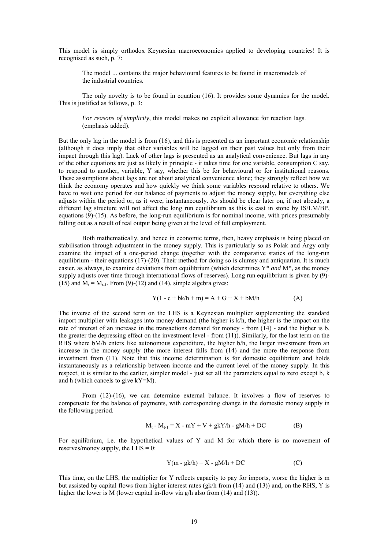This model is simply orthodox Keynesian macroeconomics applied to developing countries! It is recognised as such, p. 7:

The model ... contains the major behavioural features to be found in macromodels of the industrial countries.

 The only novelty is to be found in equation (16). It provides some dynamics for the model. This is justified as follows, p. 3:

*For reasons of simplicity*, this model makes no explicit allowance for reaction lags. (emphasis added).

But the only lag in the model is from (16), and this is presented as an important economic relationship (although it does imply that other variables will be lagged on their past values but only from their impact through this lag). Lack of other lags is presented as an analytical convenience. But lags in any of the other equations are just as likely in principle - it takes time for one variable, consumption C say, to respond to another, variable, Y say, whether this be for behavioural or for institutional reasons. These assumptions about lags are not about analytical convenience alone; they strongly reflect how we think the economy operates and how quickly we think some variables respond relative to others. We have to wait one period for our balance of payments to adjust the money supply, but everything else adjusts within the period or, as it were, instantaneously. As should be clear later on, if not already, a different lag structure will not affect the long run equilibrium as this is cast in stone by IS/LM/BP, equations (9)-(15). As before, the long-run equilibrium is for nominal income, with prices presumably falling out as a result of real output being given at the level of full employment.

 Both mathematically, and hence in economic terms, then, heavy emphasis is being placed on stabilisation through adjustment in the money supply. This is particularly so as Polak and Argy only examine the impact of a one-period change (together with the comparative statics of the long-run equilibrium - their equations  $(17)-(20)$ . Their method for doing so is clumsy and antiquarian. It is much easier, as always, to examine deviations from equilibrium (which determines Y\* *and* M\*, as the money supply adjusts over time through international flows of reserves). Long run equilibrium is given by (9)- (15) and  $M_t = M_{t-1}$ . From (9)-(12) and (14), simple algebra gives:

$$
Y(1 - c + bk/h + m) = A + G + X + bM/h
$$
 (A)

The inverse of the second term on the LHS is a Keynesian multiplier supplementing the standard import multiplier with leakages into money demand (the higher is k/h, the higher is the impact on the rate of interest of an increase in the transactions demand for money - from (14) - and the higher is b, the greater the depressing effect on the investment level - from (11)). Similarly, for the last term on the RHS where bM/h enters like autonomous expenditure, the higher b/h, the larger investment from an increase in the money supply (the more interest falls from (14) and the more the response from investment from (11). Note that this income determination is for domestic equilibrium and holds instantaneously as a relationship between income and the current level of the money supply. In this respect, it is similar to the earlier, simpler model - just set all the parameters equal to zero except b, k and h (which cancels to give kY=M).

 From (12)-(16), we can determine external balance. It involves a flow of reserves to compensate for the balance of payments, with corresponding change in the domestic money supply in the following period.

$$
M_t - M_{t-1} = X - mY + V + gkY/h - gM/h + DC
$$
 (B)

For equilibrium, i.e. the hypothetical values of Y and M for which there is no movement of reserves/money supply, the  $LHS = 0$ :

$$
Y(m - gk/h) = X - gM/h + DC
$$
 (C)

This time, on the LHS, the multiplier for Y reflects capacity to pay for imports, worse the higher is m but assisted by capital flows from higher interest rates (gk/h from (14) and (13)) and, on the RHS, Y is higher the lower is M (lower capital in-flow via g/h also from (14) and (13)).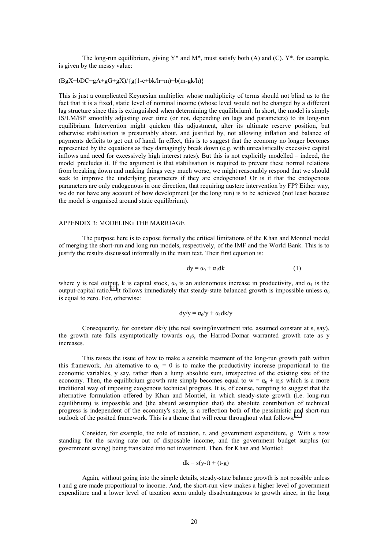The long-run equilibrium, giving  $Y^*$  and  $M^*$ , must satisfy both (A) and (C).  $Y^*$ , for example, is given by the messy value:

#### $(BgX+bDC+gA+gG+gX)/{g(1-c+bk/h+m)+b(m-gk/h)}$

This is just a complicated Keynesian multiplier whose multiplicity of terms should not blind us to the fact that it is a fixed, static level of nominal income (whose level would not be changed by a different lag structure since this is extinguished when determining the equilibrium). In short, the model is simply IS/LM/BP smoothly adjusting over time (or not, depending on lags and parameters) to its long-run equilibrium. Intervention might quicken this adjustment, alter its ultimate reserve position, but otherwise stabilisation is presumably about, and justified by, not allowing inflation and balance of payments deficits to get out of hand. In effect, this is to suggest that the economy no longer becomes represented by the equations as they damagingly break down (e.g. with unrealistically excessive capital inflows and need for excessively high interest rates). But this is not explicitly modelled – indeed, the model precludes it. If the argument is that stabilisation is required to prevent these normal relations from breaking down and making things very much worse, we might reasonably respond that we should seek to improve the underlying parameters if they are endogenous! Or is it that the endogenous parameters are only endogenous in one direction, that requiring austere intervention by FP? Either way, we do not have any account of how development (or the long run) is to be achieved (not least because the model is organised around static equilibrium).

#### APPENDIX 3: MODELING THE MARRIAGE

 The purpose here is to expose formally the critical limitations of the Khan and Montiel model of merging the short-run and long run models, respectively, of the IMF and the World Bank. This is to justify the results discussed informally in the main text. Their first equation is:

$$
dy = \alpha_0 + \alpha_1 dk \tag{1}
$$

where y is real output, k is capital stock,  $\alpha_0$  is an autonomous increase in productivity, and  $\alpha_1$  is the output-capital ratio.<sup>27</sup> It follows immediately that steady-state balanced growth is impossible unless  $\alpha_0$ is equal to zero. For, otherwise:

$$
dy/y = \alpha_0/y + \alpha_1 dk/y
$$

 Consequently, for constant dk/y (the real saving/investment rate, assumed constant at s, say), the growth rate falls asymptotically towards  $\alpha_1$ s, the Harrod-Domar warranted growth rate as y increases.

 This raises the issue of how to make a sensible treatment of the long-run growth path within this framework. An alternative to  $\alpha_0 = 0$  is to make the productivity increase proportional to the economic variables, y say, rather than a lump absolute sum, irrespective of the existing size of the economy. Then, the equilibrium growth rate simply becomes equal to  $w = \alpha_0 + \alpha_1 s$  which is a more traditional way of imposing exogenous technical progress. It is, of course, tempting to suggest that the alternative formulation offered by Khan and Montiel, in which steady-state growth (i.e. long-run equilibrium) is impossible and (the absurd assumption that) the absolute contribution of technical progress is independent of the economy's scale, is a reflection both of the pessimistic and short-run outlook of the posited framework. This is a theme that will recur throughout what follows.<sup>[28](#page-29-0)</sup>

 Consider, for example, the role of taxation, t, and government expenditure, g. With s now standing for the saving rate out of disposable income, and the government budget surplus (or government saving) being translated into net investment. Then, for Khan and Montiel:

$$
dk = s(y-t) + (t-g)
$$

 Again, without going into the simple details, steady-state balance growth is not possible unless t and g are made proportional to income. And, the short-run view makes a higher level of government expenditure and a lower level of taxation seem unduly disadvantageous to growth since, in the long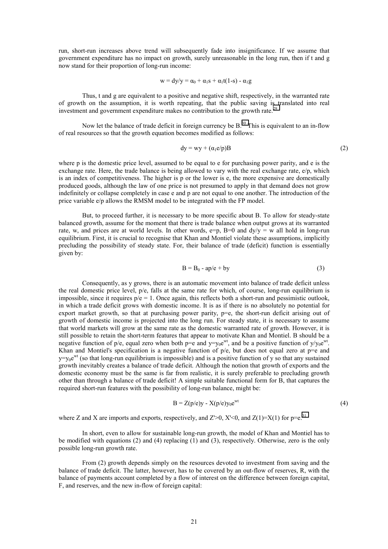run, short-run increases above trend will subsequently fade into insignificance. If we assume that government expenditure has no impact on growth, surely unreasonable in the long run, then if t and g now stand for their proportion of long-run income:

$$
w = dy/y = \alpha_0 + \alpha_1 s + \alpha_1 t(1-s) - \alpha_1 g
$$

 Thus, t and g are equivalent to a positive and negative shift, respectively, in the warranted rate of growth on the assumption, it is worth repeating, that the public saving is translated into real investment and government expenditure makes no contribution to the growth rate.<sup>[29](#page-29-0)</sup>

Now let the balance of trade deficit in foreign currency be B.<sup>30</sup> This is equivalent to an in-flow of real resources so that the growth equation becomes modified as follows:

$$
dy = wy + (\alpha_1 e/p)B
$$
 (2)

where p is the domestic price level, assumed to be equal to e for purchasing power parity, and e is the exchange rate. Here, the trade balance is being allowed to vary with the real exchange rate, e/p, which is an index of competitiveness. The higher is p or the lower is e, the more expensive are domestically produced goods, although the law of one price is not presumed to apply in that demand does not grow indefinitely or collapse completely in case e and p are not equal to one another. The introduction of the price variable e/p allows the RMSM model to be integrated with the FP model.

 But, to proceed further, it is necessary to be more specific about B. To allow for steady-state balanced growth, assume for the moment that there is trade balance when output grows at its warranted rate, w, and prices are at world levels. In other words,  $e=p$ ,  $B=0$  and  $dy/y = w$  all hold in long-run equilibrium. First, it is crucial to recognise that Khan and Montiel violate these assumptions, implicitly precluding the possibility of steady state. For, their balance of trade (deficit) function is essentially given by:

$$
B = B_0 - ap/e + by \tag{3}
$$

 Consequently, as y grows, there is an automatic movement into balance of trade deficit unless the real domestic price level, p/e, falls at the same rate for which, of course, long-run equilibrium is impossible, since it requires  $p/e = 1$ . Once again, this reflects both a short-run and pessimistic outlook, in which a trade deficit grows with domestic income. It is as if there is no absolutely no potential for export market growth, so that at purchasing power parity,  $p=e$ , the short-run deficit arising out of growth of domestic income is projected into the long run. For steady state, it is necessary to assume that world markets will grow at the same rate as the domestic warranted rate of growth. However, it is still possible to retain the short-term features that appear to motivate Khan and Montiel. B should be a negative function of p/e, equal zero when both  $p=e$  and  $y=y_0e^{wt}$ , and be a positive function of  $y/y_0e^{wt}$ . Khan and Montiel's specification is a negative function of  $p/e$ , but does not equal zero at  $p=e$  and  $y=y_0e^{wt}$  (so that long-run equilibrium is impossible) and is a positive function of y so that any sustained growth inevitably creates a balance of trade deficit. Although the notion that growth of exports and the domestic economy must be the same is far from realistic, it is surely preferable to precluding growth other than through a balance of trade deficit! A simple suitable functional form for B, that captures the required short-run features with the possibility of long-run balance, might be:

$$
B = Z(p/e)y - X(p/e)y_0e^{wt}
$$
\n(4)

where Z and X are imports and exports, respectively, and  $Z > 0$ ,  $X' < 0$ , and  $Z(1) = X(1)$  for p=e.<sup>[31](#page-29-0)</sup>

 In short, even to allow for sustainable long-run growth, the model of Khan and Montiel has to be modified with equations (2) and (4) replacing (1) and (3), respectively. Otherwise, zero is the only possible long-run growth rate.

 From (2) growth depends simply on the resources devoted to investment from saving and the balance of trade deficit. The latter, however, has to be covered by an out-flow of reserves, R, with the balance of payments account completed by a flow of interest on the difference between foreign capital, F, and reserves, and the new in-flow of foreign capital: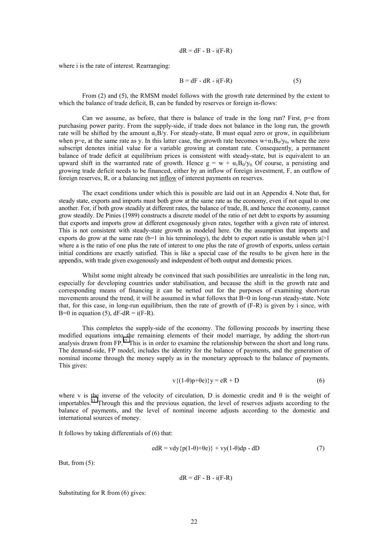$$
dR = dF - B - i(F - R)
$$

where i is the rate of interest. Rearranging:

$$
B = dF - dR - i(F - R)
$$
 (5)

 From (2) and (5), the RMSM model follows with the growth rate determined by the extent to which the balance of trade deficit, B, can be funded by reserves or foreign in-flows:

Can we assume, as before, that there is balance of trade in the long run? First,  $p=e$  from purchasing power parity. From the supply-side, if trade does not balance in the long run, the growth rate will be shifted by the amount  $\alpha_1 B/y$ . For steady-state, B must equal zero or grow, in equilibrium when p=e, at the same rate as y. In this latter case, the growth rate becomes  $w+ \alpha_1 B_0/v_0$ , where the zero subscript denotes initial value for a variable growing at constant rate. Consequently, a permanent balance of trade deficit at equilibrium prices is consistent with steady-state, but is equivalent to an upward shift in the warranted rate of growth. Hence  $g = w + \alpha_1 B_0/y_0$  Of course, a persisting and growing trade deficit needs to be financed, either by an inflow of foreign investment, F, an outflow of foreign reserves, R, or a balancing net inflow of interest payments on reserves.

 The exact conditions under which this is possible are laid out in an Appendix 4. Note that, for steady state, exports and imports must both grow at the same rate as the economy, even if not equal to one another. For, if both grow steadily at different rates, the balance of trade, B, and hence the economy, cannot grow steadily. De Pinies (1989) constructs a discrete model of the ratio of net debt to exports by assuming that exports and imports grow at different exogenously given rates, together with a given rate of interest. This is not consistent with steady-state growth as modeled here. On the assumption that imports and exports do grow at the same rate ( $b=1$  in his terminology), the debt to export ratio is unstable when  $|a|>1$ where a is the ratio of one plus the rate of interest to one plus the rate of growth of exports, unless certain initial conditions are exactly satisfied. This is like a special case of the results to be given here in the appendix, with trade given exogenously and independent of both output and domestic prices.

Whilst some might already be convinced that such possibilities are unrealistic in the long run, especially for developing countries under stabilisation, and because the shift in the growth rate and corresponding means of financing it can be netted out for the purposes of examining short-run movements around the trend, it will be assumed in what follows that B=0 in long-run steady-state. Note that, for this case, in long-run equilibrium, then the rate of growth of (F-R) is given by i since, with B=0 in equation (5),  $dF-dR = i(F-R)$ .

 This completes the supply-side of the economy. The following proceeds by inserting these modified equations into the remaining elements of their model marriage, by adding the short-run analysis drawn from FP.<sup>32</sup> This is in order to examine the relationship between the short and long runs. The demand-side, FP model, includes the identity for the balance of payments, and the generation of nominal income through the money supply as in the monetary approach to the balance of payments. This gives:

$$
v\{(1-\theta)p+\theta e)\}y = eR + D \tag{6}
$$

where v is the inverse of the velocity of circulation, D is domestic credit and θ is the weight of importables.[33 T](#page-29-0)hrough this and the previous equation, the level of reserves adjusts according to the balance of payments, and the level of nominal income adjusts according to the domestic and international sources of money.

It follows by taking differentials of (6) that:

$$
edR = vdy{p(1-\theta)+\theta e} + vy(1-\theta)dp - dD
$$
 (7)

But, from  $(5)$ :

 $dR = dF - B - i(F-R)$ 

Substituting for R from (6) gives: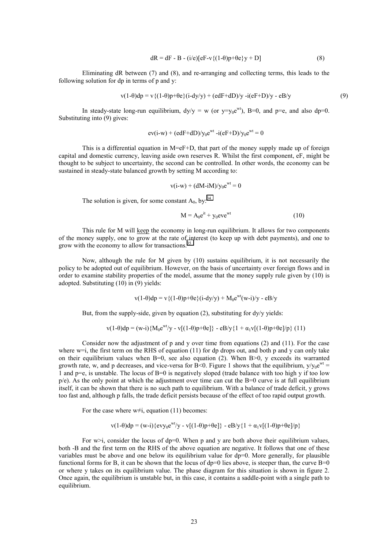$$
dR = dF - B - (i/e)[eF - v\{(1-\theta)p + \theta e\}y + D]
$$
\n(8)

 Eliminating dR between (7) and (8), and re-arranging and collecting terms, this leads to the following solution for dp in terms of p and y:

$$
v(1-\theta)dp = v\{(1-\theta)p+\theta e\}(i-dy/y) + (edF+dD)/y - i(eF+D)/y - eB/y
$$
\n(9)

In steady-state long-run equilibrium,  $dy/y = w$  (or  $y=y_0e^{wt}$ ), B=0, and p=e, and also dp=0. Substituting into (9) gives:

$$
ev(i-w) + (edF + dD)/y_0e^{wt} - i(eF + D)/y_0e^{wt} = 0
$$

This is a differential equation in  $M=ef+D$ , that part of the money supply made up of foreign capital and domestic currency, leaving aside own reserves R. Whilst the first component, eF, might be thought to be subject to uncertainty, the second can be controlled. In other words, the economy can be sustained in steady-state balanced growth by setting M according to:

$$
v(i-w) + (dM-iM)/y_0e^{wt} = 0
$$

The solution is given, for some constant  $A_0$ , by:<sup>[34](#page-29-0)</sup>

$$
M = A_0 e^{it} + y_0 e^{i\omega t}
$$
 (10)

 This rule for M will keep the economy in long-run equilibrium. It allows for two components of the money supply, one to grow at the rate of interest (to keep up with debt payments), and one to grow with the economy to allow for transactions.<sup>[35](#page-29-0)</sup>

 Now, although the rule for M given by (10) sustains equilibrium, it is not necessarily the policy to be adopted out of equilibrium. However, on the basis of uncertainty over foreign flows and in order to examine stability properties of the model, assume that the money supply rule given by (10) is adopted. Substituting (10) in (9) yields:

$$
v(1-\theta)dp = v\{(1-\theta)p+\theta e\}(i-dy/y) + M_0e^{wt}(w-i)/y - eBy
$$

But, from the supply-side, given by equation  $(2)$ , substituting for  $\frac{dy}{y}$  yields:

$$
v(1-\theta)dp = (w-i)\{M_0e^{wt}/y - v[(1-\theta)p+\theta e]\} - eB/y\{1 + \alpha_1v[(1-\theta)p+\theta e]/p\} (11)
$$

Consider now the adjustment of  $p$  and  $y$  over time from equations (2) and (11). For the case where  $w=i$ , the first term on the RHS of equation (11) for dp drops out, and both p and y can only take on their equilibrium values when B=0, see also equation (2). When B>0, y exceeds its warranted growth rate, w, and p decreases, and vice-versa for B<0. Figure 1 shows that the equilibrium,  $y/y_0e^{wt} =$ 1 and p=e, is unstable. The locus of B=0 is negatively sloped (trade balance with too high y if too low  $p/e$ ). As the only point at which the adjustment over time can cut the B=0 curve is at full equilibrium itself, it can be shown that there is no such path to equilibrium. With a balance of trade deficit, y grows too fast and, although p falls, the trade deficit persists because of the effect of too rapid output growth.

For the case where  $w\neq i$ , equation (11) becomes:

$$
v(1-\theta)dp = (w-i){\text{evy}}_0e^{wt}/y - v[(1-\theta)p+\theta e]{\text{e}} - eBy\{1 + \alpha_1v[(1-\theta)p+\theta e]/p\}
$$

For  $w>i$ , consider the locus of dp=0. When p and y are both above their equilibrium values, both -B and the first term on the RHS of the above equation are negative. It follows that one of these variables must be above and one below its equilibrium value for  $dp=0$ . More generally, for plausible functional forms for B, it can be shown that the locus of  $dp=0$  lies above, is steeper than, the curve  $B=0$ or where y takes on its equilibrium value. The phase diagram for this situation is shown in figure 2. Once again, the equilibrium is unstable but, in this case, it contains a saddle-point with a single path to equilibrium.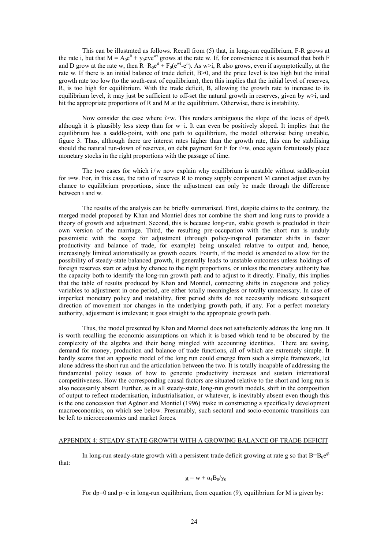This can be illustrated as follows. Recall from (5) that, in long-run equilibrium, F-R grows at the rate i, but that  $M = A_0 e^{it} + y_0 e^{i\theta}$  grows at the rate w. If, for convenience it is assumed that both F and D grow at the rate w, then  $R=R_0e^{it} + F_0(e^{wt} - e^{it})$ . As w>i, R also grows, even if asymptotically, at the rate w. If there is an initial balance of trade deficit, B>0, and the price level is too high but the initial growth rate too low (to the south-east of equilibrium), then this implies that the initial level of reserves, R, is too high for equilibrium. With the trade deficit, B, allowing the growth rate to increase to its equilibrium level, it may just be sufficient to off-set the natural growth in reserves, given by  $w > i$ , and hit the appropriate proportions of R and M at the equilibrium. Otherwise, there is instability.

Now consider the case where i>w. This renders ambiguous the slope of the locus of  $dp=0$ , although it is plausibly less steep than for w=i. It can even be positively sloped. It implies that the equilibrium has a saddle-point, with one path to equilibrium, the model otherwise being unstable, figure 3. Thus, although there are interest rates higher than the growth rate, this can be stabilising should the natural run-down of reserves, on debt payment for  $F$  for  $\geq$  w, once again fortuitously place monetary stocks in the right proportions with the passage of time.

The two cases for which  $\neq w$  now explain why equilibrium is unstable without saddle-point for i=w. For, in this case, the ratio of reserves R to money supply component M cannot adjust even by chance to equilibrium proportions, since the adjustment can only be made through the difference between i and w.

 The results of the analysis can be briefly summarised. First, despite claims to the contrary, the merged model proposed by Khan and Montiel does not combine the short and long runs to provide a theory of growth and adjustment. Second, this is because long-run, stable growth is precluded in their own version of the marriage. Third, the resulting pre-occupation with the short run is unduly pessimistic with the scope for adjustment (through policy-inspired parameter shifts in factor productivity and balance of trade, for example) being unscaled relative to output and, hence, increasingly limited automatically as growth occurs. Fourth, if the model is amended to allow for the possibility of steady-state balanced growth, it generally leads to unstable outcomes unless holdings of foreign reserves start or adjust by chance to the right proportions, or unless the monetary authority has the capacity both to identify the long-run growth path and to adjust to it directly. Finally, this implies that the table of results produced by Khan and Montiel, connecting shifts in exogenous and policy variables to adjustment in one period, are either totally meaningless or totally unnecessary. In case of imperfect monetary policy and instability, first period shifts do not necessarily indicate subsequent direction of movement nor changes in the underlying growth path, if any. For a perfect monetary authority, adjustment is irrelevant; it goes straight to the appropriate growth path.

 Thus, the model presented by Khan and Montiel does not satisfactorily address the long run. It is worth recalling the economic assumptions on which it is based which tend to be obscured by the complexity of the algebra and their being mingled with accounting identities. There are saving, demand for money, production and balance of trade functions, all of which are extremely simple. It hardly seems that an apposite model of the long run could emerge from such a simple framework, let alone address the short run and the articulation between the two. It is totally incapable of addressing the fundamental policy issues of how to generate productivity increases and sustain international competitiveness. How the corresponding causal factors are situated relative to the short and long run is also necessarily absent. Further, as in all steady-state, long-run growth models, shift in the composition of output to reflect modernisation, industrialisation, or whatever, is inevitably absent even though this is the one concession that Agénor and Montiel (1996) make in constructing a specifically development macroeconomics, on which see below. Presumably, such sectoral and socio-economic transitions can be left to microeconomics and market forces.

#### APPENDIX 4: STEADY-STATE GROWTH WITH A GROWING BALANCE OF TRADE DEFICIT

In long-run steady-state growth with a persistent trade deficit growing at rate g so that  $B=B_0e^{gt}$ that:

$$
g = w + \alpha_1 B_0/y_0
$$

For dp=0 and p=e in long-run equilibrium, from equation  $(9)$ , equilibrium for M is given by: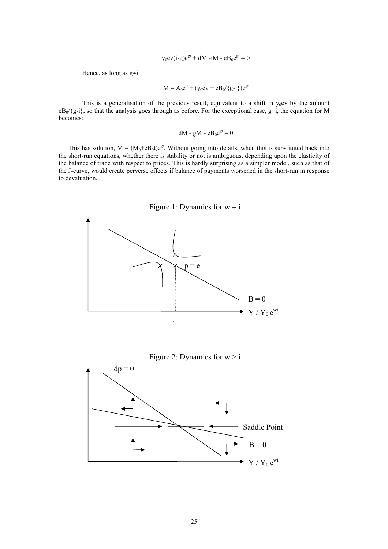$$
y_0 \text{ev}(i-g) e^{gt} + dM - iM - eB_0 e^{gt} = 0
$$

Hence, as long as  $g\neq i$ :

$$
M = A_0 e^{it} + (y_0 e v + e B_0 / {g-i}) e^{gt}
$$

This is a generalisation of the previous result, equivalent to a shift in  $y_0$ ev by the amount  $eB_0$ / $\{g_i\}$ , so that the analysis goes through as before. For the exceptional case,  $g=i$ , the equation for M becomes:

$$
dM - gM - eB_0e^{gt} = 0
$$

This has solution,  $M = (M_0 + eB_0t)e^{gt}$ . Without going into details, when this is substituted back into the short-run equations, whether there is stability or not is ambiguous, depending upon the elasticity of the balance of trade with respect to prices. This is hardly surprising as a simpler model, such as that of the J-curve, would create perverse effects if balance of payments worsened in the short-run in response to devaluation.



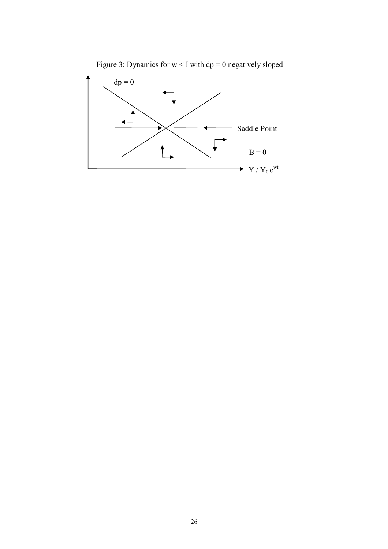Figure 3: Dynamics for  $w < I$  with dp = 0 negatively sloped

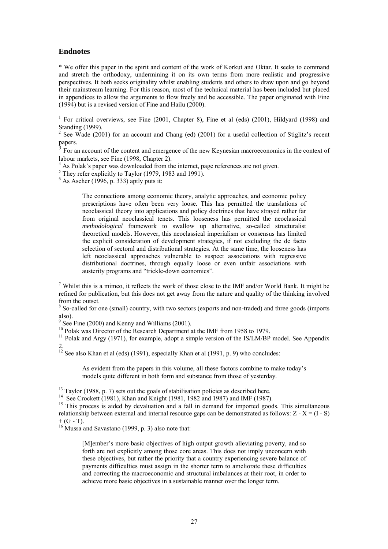### **Endnotes**

\* We offer this paper in the spirit and content of the work of Korkut and Oktar. It seeks to command and stretch the orthodoxy, undermining it on its own terms from more realistic and progressive perspectives. It both seeks originality whilst enabling students and others to draw upon and go beyond their mainstream learning. For this reason, most of the technical material has been included but placed in appendices to allow the arguments to flow freely and be accessible. The paper originated with Fine (1994) but is a revised version of Fine and Hailu (2000).

<sup>1</sup> For critical overviews, see Fine (2001, Chapter 8), Fine et al (eds) (2001), Hildyard (1998) and Standing (1999).

<sup>2</sup> See Wade (2001) for an account and Chang (ed) (2001) for a useful collection of Stiglitz's recent papers.

<sup>3</sup> For an account of the content and emergence of the new Keynesian macroeconomics in the context of labour markets, see Fine (1998, Chapter 2).

<sup>4</sup> As Polak's paper was downloaded from the internet, page references are not given.

<sup>5</sup> They refer explicitly to Taylor (1979, 1983 and 1991).

 $6$  As Ascher (1996, p. 333) aptly puts it:

The connections among economic theory, analytic approaches, and economic policy prescriptions have often been very loose. This has permitted the translations of neoclassical theory into applications and policy doctrines that have strayed rather far from original neoclassical tenets. This looseness has permitted the neoclassical *methodological* framework to swallow up alternative, so-called structuralist theoretical models. However, this neoclassical imperialism or consensus has limited the explicit consideration of development strategies, if not excluding the de facto selection of sectoral and distributional strategies. At the same time, the looseness has left neoclassical approaches vulnerable to suspect associations with regressive distributional doctrines, through equally loose or even unfair associations with austerity programs and "trickle-down economics".

<sup>7</sup> Whilst this is a mimeo, it reflects the work of those close to the IMF and/or World Bank. It might be refined for publication, but this does not get away from the nature and quality of the thinking involved from the outset.

<sup>8</sup> So-called for one (small) country, with two sectors (exports and non-traded) and three goods (imports also).

 $9^9$  See Fine (2000) and Kenny and Williams (2001).

<sup>10</sup> Polak was Director of the Research Department at the IMF from 1958 to 1979.

<sup>11</sup> Polak and Argy (1971), for example, adopt a simple version of the IS/LM/BP model. See Appendix 2.

<sup>12</sup> See also Khan et al (eds) (1991), especially Khan et al (1991, p. 9) who concludes:

As evident from the papers in this volume, all these factors combine to make today's models quite different in both form and substance from those of yesterday.

 $13$  Taylor (1988, p. 7) sets out the goals of stabilisation policies as described here.

<sup>14</sup> See Crockett (1981), Khan and Knight (1981, 1982 and 1987) and IMF (1987).

<sup>15</sup> This process is aided by devaluation and a fall in demand for imported goods. This simultaneous relationship between external and internal resource gaps can be demonstrated as follows:  $Z - X = (I - S)$  $+$  (G - T).

<sup>16</sup> Mussa and Savastano (1999, p. 3) also note that:

[M]ember's more basic objectives of high output growth alleviating poverty, and so forth are not explicitly among those core areas. This does not imply unconcern with these objectives, but rather the priority that a country experiencing severe balance of payments difficulties must assign in the shorter term to ameliorate these difficulties and correcting the macroeconomic and structural imbalances at their root, in order to achieve more basic objectives in a sustainable manner over the longer term.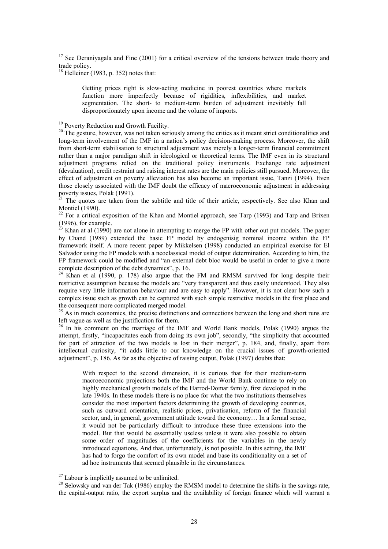$17$  See Deraniyagala and Fine (2001) for a critical overview of the tensions between trade theory and trade policy.

 $18$  Helleiner (1983, p. 352) notes that:

Getting prices right is slow-acting medicine in poorest countries where markets function more imperfectly because of rigidities, inflexibilities, and market segmentation. The short- to medium-term burden of adjustment inevitably fall disproportionately upon income and the volume of imports.

<sup>19</sup> Poverty Reduction and Growth Facility.

<sup>20</sup> The gesture, however, was not taken seriously among the critics as it meant strict conditionalities and long-term involvement of the IMF in a nation's policy decision-making process. Moreover, the shift from short-term stabilisation to structural adjustment was merely a longer-term financial commitment rather than a major paradigm shift in ideological or theoretical terms. The IMF even in its structural adjustment programs relied on the traditional policy instruments. Exchange rate adjustment (devaluation), credit restraint and raising interest rates are the main policies still pursued. Moreover, the effect of adjustment on poverty alleviation has also become an important issue, Tanzi (1994). Even those closely associated with the IMF doubt the efficacy of macroeconomic adjustment in addressing poverty issues, Polak (1991).

 $2<sup>1</sup>$  The quotes are taken from the subtitle and title of their article, respectively. See also Khan and Montiel (1990).

<sup>22</sup> For a critical exposition of the Khan and Montiel approach, see Tarp (1993) and Tarp and Brixen (1996), for example.

 $^{23}$  Khan at al (1990) are not alone in attempting to merge the FP with other out put models. The paper by Chand (1989) extended the basic FP model by endogenisig nominal income within the FP framework itself. A more recent paper by Mikkelsen (1998) conducted an empirical exercise for El Salvador using the FP models with a neoclassical model of output determination. According to him, the FP framework could be modified and "an external debt bloc would be useful in order to give a more complete description of the debt dynamics", p. 16.

 $24$  Khan et al (1990, p. 178) also argue that the FM and RMSM survived for long despite their restrictive assumption because the models are "very transparent and thus easily understood. They also require very little information behaviour and are easy to apply". However, it is not clear how such a complex issue such as growth can be captured with such simple restrictive models in the first place and the consequent more complicated merged model.

 $25$  As in much economics, the precise distinctions and connections between the long and short runs are left vague as well as the justification for them.

 $26$  In his comment on the marriage of the IMF and World Bank models, Polak (1990) argues the attempt, firstly, "incapacitates each from doing its own job", secondly, "the simplicity that accounted for part of attraction of the two models is lost in their merger", p. 184, and, finally, apart from intellectual curiosity, "it adds little to our knowledge on the crucial issues of growth-oriented adjustment", p. 186. As far as the objective of raising output, Polak (1997) doubts that:

With respect to the second dimension, it is curious that for their medium-term macroeconomic projections both the IMF and the World Bank continue to rely on highly mechanical growth models of the Harrod-Domar family, first developed in the late 1940s. In these models there is no place for what the two institutions themselves consider the most important factors determining the growth of developing countries, such as outward orientation, realistic prices, privatisation, reform of the financial sector, and, in general, government attitude toward the economy… In a formal sense, it would not be particularly difficult to introduce these three extensions into the model. But that would be essentially useless unless it were also possible to obtain some order of magnitudes of the coefficients for the variables in the newly introduced equations. And that, unfortunately, is not possible. In this setting, the IMF has had to forgo the comfort of its own model and base its conditionality on a set of ad hoc instruments that seemed plausible in the circumstances.

<sup>28</sup> Selowsky and van der Tak (1986) employ the RMSM model to determine the shifts in the savings rate, the capital-output ratio, the export surplus and the availability of foreign finance which will warrant a

 $27$  Labour is implicitly assumed to be unlimited.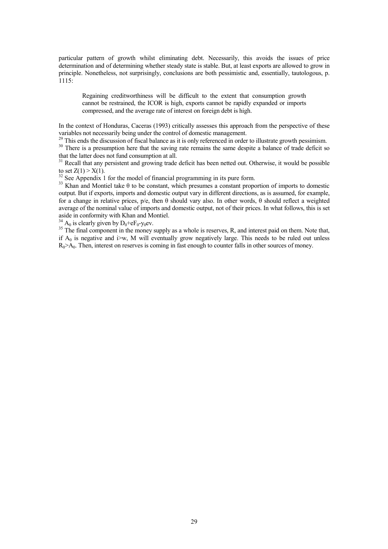particular pattern of growth whilst eliminating debt. Necessarily, this avoids the issues of price determination and of determining whether steady state is stable. But, at least exports are allowed to grow in principle. Nonetheless, not surprisingly, conclusions are both pessimistic and, essentially, tautologous, p.  $1115$ 

Regaining creditworthiness will be difficult to the extent that consumption growth cannot be restrained, the ICOR is high, exports cannot be rapidly expanded or imports compressed, and the average rate of interest on foreign debt is high.

In the context of Honduras, Caceras (1993) critically assesses this approach from the perspective of these variables not necessarily being under the control of domestic management.

This ends the discussion of fiscal balance as it is only referenced in order to illustrate growth pessimism.

<sup>30</sup> There is a presumption here that the saving rate remains the same despite a balance of trade deficit so that the latter does not fund consumption at all.

<sup>31</sup> Recall that any persistent and growing trade deficit has been netted out. Otherwise, it would be possible to set  $Z(1) > X(1)$ .

 $32$  See Appendix 1 for the model of financial programming in its pure form.

<sup>33</sup> Khan and Montiel take  $\theta$  to be constant, which presumes a constant proportion of imports to domestic output. But if exports, imports and domestic output vary in different directions, as is assumed, for example, for a change in relative prices, p/e, then θ should vary also. In other words, θ should reflect a weighted average of the nominal value of imports and domestic output, not of their prices. In what follows, this is set aside in conformity with Khan and Montiel.

 $^{34}_{34}$  A<sub>0</sub> is clearly given by D<sub>0</sub>+eF<sub>0</sub>-y<sub>0</sub>ev.<br><sup>35</sup> The final component in the money supply as a whole is reserves, R, and interest paid on them. Note that, if  $A_0$  is negative and i $\infty$ , M will eventually grow negatively large. This needs to be ruled out unless  $R_0$ >A<sub>0</sub>. Then, interest on reserves is coming in fast enough to counter falls in other sources of money.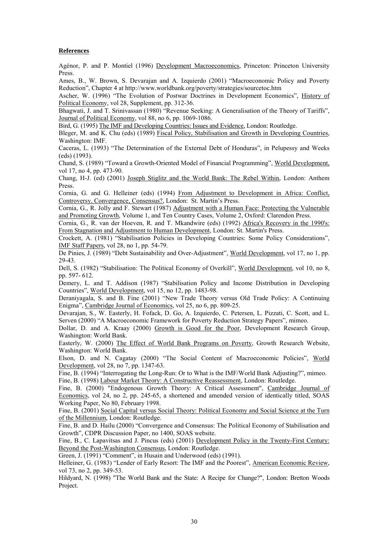#### <span id="page-29-0"></span>**References**

Agénor, P. and P. Montiel (1996) Development Macroeconomics, Princeton: Princeton University Press.

Ames, B., W. Brown, S. Devarajan and A. Izquierdo (2001) "Macroeconomic Policy and Poverty Reduction", Chapter 4 at http://www.worldbank.org/poverty/strategies/sourcetoc.htm

Ascher, W. (1996) "The Evolution of Postwar Doctrines in Development Economics", History of Political Economy, vol 28, Supplement, pp. 312-36.

Bhagwati, J. and T. Srinivassan (1980) "Revenue Seeking: A Generalisation of the Theory of Tariffs", Journal of Political Economy, vol 88, no 6, pp. 1069-1086.

Bird, G. (1995) The IMF and Developing Countries: Issues and Evidence, London: Routledge.

Bleger, M. and K. Chu (eds) (1989) Fiscal Policy, Stabilisation and Growth in Developing Countries, Washington: IMF.

Caceras, L. (1993) "The Determination of the External Debt of Honduras", in Pelupessy and Weeks (eds) (1993).

Chand, S. (1989) "Toward a Growth-Oriented Model of Financial Programming", World Development, vol 17, no 4, pp. 473-90.

Chang, H-J. (ed) (2001) Joseph Stiglitz and the World Bank: The Rebel Within, London: Anthem Press.

Cornia, G. and G. Helleiner (eds) (1994) From Adjustment to Development in Africa: Conflict, Controversy, Convergence, Consensus?, London: St. Martin's Press.

Cornia, G., R. Jolly and F. Stewart (1987) Adjustment with a Human Face: Protecting the Vulnerable and Promoting Growth, Volume 1, and Ten Country Cases, Volume 2, Oxford: Clarendon Press.

Cornia, G., R. van der Hoeven, R. and T. Mkandwire (eds) (1992) Africa's Recovery in the 1990's: From Stagnation and Adjustment to Human Development, London: St. Martin's Press.

Crockett, A. (1981) "Stabilisation Policies in Developing Countries: Some Policy Considerations", IMF Staff Papers, vol 28, no 1, pp. 54-79.

De Pinies, J. (1989) "Debt Sustainability and Over-Adjustment", World Development, vol 17, no 1, pp. 29-43.

Dell, S. (1982) "Stabilisation: The Political Economy of Overkill", World Development, vol 10, no 8, pp. 597- 612.

Demery, L. and T. Addison (1987) "Stabilisation Policy and Income Distribution in Developing Countries", World Development, vol 15, no 12, pp. 1483-98.

Deraniyagala, S. and B. Fine (2001) "New Trade Theory versus Old Trade Policy: A Continuing Enigma", Cambridge Journal of Economics, vol 25, no 6, pp. 809-25.

Devarajan, S., W. Easterly, H. Fofack, D. Go, A. Izquierdo, C. Petersen, L. Pizzati, C. Scott, and L. Serven (2000) "A Macroeconomic Framework for Poverty Reduction Strategy Papers", mimeo.

Dollar, D. and A. Kraay (2000) Growth is Good for the Poor, Development Research Group, Washington: World Bank.

Easterly, W. (2000) The Effect of World Bank Programs on Poverty, Growth Research Website, Washington: World Bank.

Elson, D. and N. Cagatay (2000) "The Social Content of Macroeconomic Policies", World Development, vol 28, no 7, pp. 1347-63.

Fine, B. (1994) "Interrogating the Long-Run: Or to What is the IMF/World Bank Adjusting?", mimeo. Fine, B. (1998) Labour Market Theory: A Constructive Reassessment, London: Routledge.

Fine, B. (2000) "Endogenous Growth Theory: A Critical Assessment", Cambridge Journal of Economics, vol 24, no 2, pp. 245-65, a shortened and amended version of identically titled, SOAS Working Paper, No 80, February 1998.

Fine, B. (2001) Social Capital versus Social Theory: Political Economy and Social Science at the Turn of the Millennium, London: Routledge.

Fine, B. and D. Hailu (2000) "Convergence and Consensus: The Political Economy of Stabilisation and Growth", CDPR Discussion Paper, no 1400, SOAS website.

Fine, B., C. Lapavitsas and J. Pincus (eds) (2001) Development Policy in the Twenty-First Century: Beyond the Post-Washington Consensus, London: Routledge.

Green, J. (1991) "Comment", in Husain and Underwood (eds) (1991).

Helleiner, G. (1983) "Lender of Early Resort: The IMF and the Poorest", American Economic Review, vol 73, no 2, pp. 349-53.

Hildyard, N. (1998) "The World Bank and the State: A Recipe for Change?", London: Bretton Woods Project.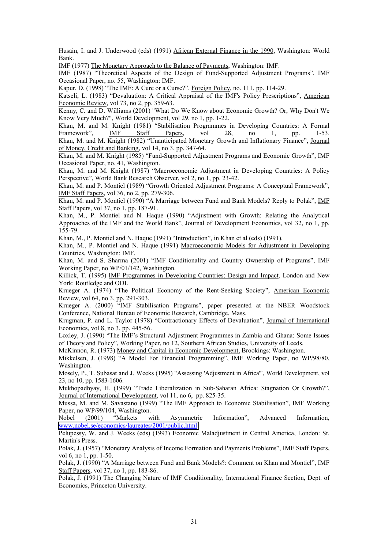Husain, I. and J. Underwood (eds) (1991) African External Finance in the 1990, Washington: World Bank.

IMF (1977) The Monetary Approach to the Balance of Payments, Washington: IMF.

IMF (1987) "Theoretical Aspects of the Design of Fund-Supported Adjustment Programs", IMF Occasional Paper, no. 55, Washington: IMF.

Kapur, D. (1998) "The IMF: A Cure or a Curse?", Foreign Policy, no. 111, pp. 114-29.

Katseli, L. (1983) "Devaluation: A Critical Appraisal of the IMF's Policy Prescriptions", American Economic Review, vol 73, no 2, pp. 359-63.

Kenny, C. and D. Williams (2001) "What Do We Know about Economic Growth? Or, Why Don't We Know Very Much?", World Development, vol 29, no 1, pp. 1-22.

Khan, M. and M. Knight (1981) "Stabilisation Programmes in Developing Countries: A Formal Framework", IMF Staff Papers, vol 28, no 1, pp. 1-53. Khan, M. and M. Knight (1982) "Unanticipated Monetary Growth and Inflationary Finance", Journal of Money, Credit and Banking, vol 14, no 3, pp. 347-64.

Khan, M. and M. Knight (1985) "Fund-Supported Adjustment Programs and Economic Growth", IMF Occasional Paper, no. 41, Washington.

Khan, M. and M. Knight (1987) "Macroeconomic Adjustment in Developing Countries: A Policy Perspective", World Bank Research Observer, vol 2, no.1, pp. 23-42.

Khan, M. and P. Montiel (1989) "Growth Oriented Adjustment Programs: A Conceptual Framework", IMF Staff Papers, vol 36, no 2, pp. 279-306.

Khan, M. and P. Montiel (1990) "A Marriage between Fund and Bank Models? Reply to Polak", *IMF* Staff Papers, vol 37, no 1, pp. 187-91.

Khan, M., P. Montiel and N. Haque (1990) "Adjustment with Growth: Relating the Analytical Approaches of the IMF and the World Bank", Journal of Development Economics, vol 32, no 1, pp. 155-79.

Khan, M., P. Montiel and N. Haque (1991) "Introduction", in Khan et al (eds) (1991).

Khan, M., P. Montiel and N. Haque (1991) Macroeconomic Models for Adjustment in Developing Countries, Washington: IMF.

Khan, M. and S. Sharma (2001) "IMF Conditionality and Country Ownership of Programs", IMF Working Paper, no WP/01/142, Washington.

Killick, T. (1995) IMF Programmes in Developing Countries: Design and Impact, London and New York: Routledge and ODI.

Krueger A. (1974) "The Political Economy of the Rent-Seeking Society", American Economic Review, vol 64, no 3, pp. 291-303.

Krueger A. (2000) "IMF Stabilisation Programs", paper presented at the NBER Woodstock Conference, National Bureau of Economic Research, Cambridge, Mass.

Krugman, P. and L. Taylor (1978) "Contractionary Effects of Devaluation", Journal of International Economics, vol 8, no 3, pp. 445-56.

Loxley, J. (1990) "The IMF's Structural Adjustment Programmes in Zambia and Ghana: Some Issues of Theory and Policy", Working Paper, no 12, Southern African Studies, University of Leeds.

McKinnon, R. (1973) Money and Capital in Economic Development, Brookings: Washington.

Mikkelsen, J. (1998) "A Model For Financial Programming", IMF Working Paper, no WP/98/80, Washington.

Mosely, P., T. Subasat and J. Weeks (1995) "Assessing 'Adjustment in Africa'", World Development, vol 23, no 10, pp. 1583-1606.

Mukhopadhyay, H. (1999) "Trade Liberalization in Sub-Saharan Africa: Stagnation Or Growth?", Journal of International Development, vol 11, no 6, pp. 825-35.

Mussa, M. and M. Savastano (1999) "The IMF Approach to Economic Stabilisation", IMF Working Paper, no WP/99/104, Washington.

Nobel (2001) "Markets with Asymmetric Information", Advanced Information, [www.nobel.se/economics/laureates/2001/public.html](http://www.nobel.se/economics/laureates/2001/public.html)

Pelupessy, W. and J. Weeks (eds) (1993) Economic Maladjustment in Central America, London: St. Martin's Press.

Polak, J. (1957) "Monetary Analysis of Income Formation and Payments Problems", IMF Staff Papers, vol 6, no 1, pp. 1-50.

Polak, J. (1990) "A Marriage between Fund and Bank Models?: Comment on Khan and Montiel", IMF Staff Papers, vol 37, no 1, pp. 183-86.

Polak, J. (1991) The Changing Nature of IMF Conditionality, International Finance Section, Dept. of Economics, Princeton University.